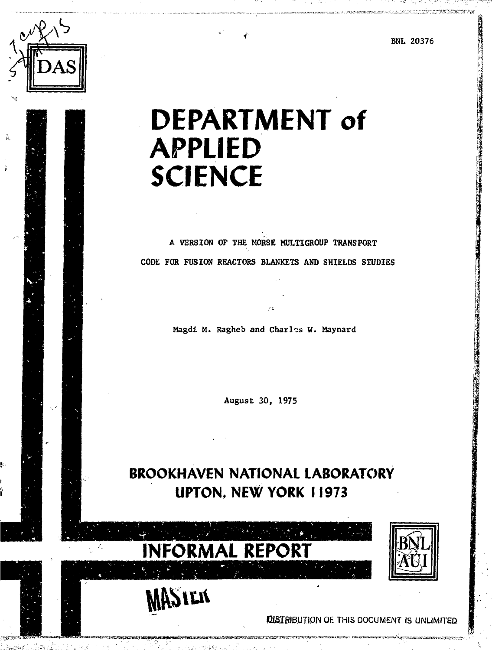BNL 20376

**1 I** 

「地震の のうまい



# **DEPARTMENT of APPLIED SCIENCE**

A VERSION OF THE MORSE MDLTIGROUP TRANSPORT CODE FOR FUSION REACTORS BLANKETS AND SHIELDS STUDIES

Magdi M. Ragheb and Charles W. Maynard

August 30, 1975

**BROOKHAVEN NATIONAL LABORATORY UPTON, NEW YORK 11973**



**SIEK** 

**FUSTRIBUTION OF THIS DOCUMENT IS UNLIMITED.** 

!\*\*^\* ' ^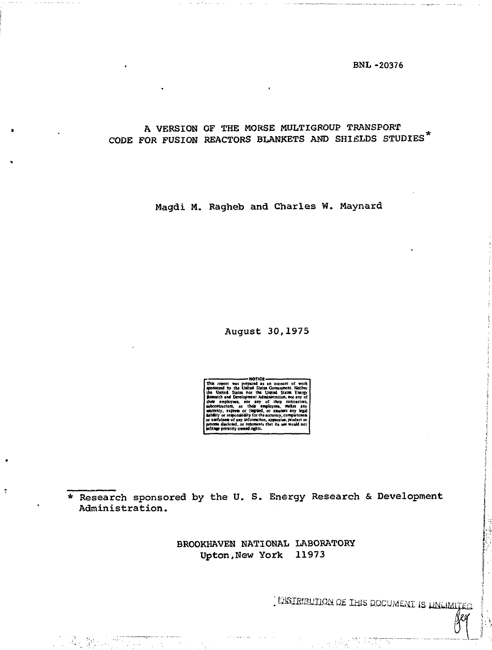**BNL-20376** 

# A VERSION OF THE MORSE MULTIGROUP TRANSPORT CODE FOR FUSION REACTORS BLANKETS AND SHIELDS STUDIES\*

Magdi M. Ragheb and Charles W. Maynard

August 30, 1975

mmtely ow an santan

\* Research sponsored by the U. S. Energy Research & Development Administration.

f,

BROOKHAVEN NATIONAL LABORATORY Upton, New York 11973

. INSTRIBUTION OF THIS DOCUMENT IS UNLIMITED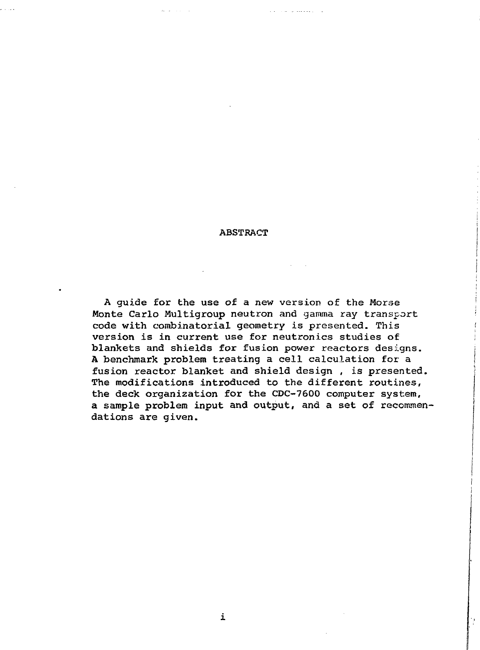#### ABSTRACT

A guide for the use of a new version of the Morse Monte Carlo Multigroup neutron and gamma ray transport code with combinatorial geometry is presented. This version is in current use for neutronics studies of blankets and shields for fusion power reactors designs. A benchmark problem treating a cell calculation for a fusion reactor blanket and shield design , is presented. The modifications introduced to the different routines, the deck organization for the CDC-7600 computer system, a sample problem input and output, and a set of recommendations are given.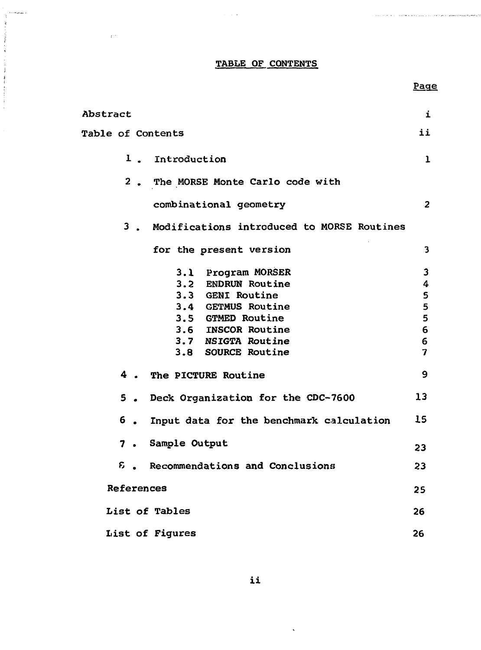# TABLE OF CONTENTS

 $\sim 100$  km  $^{-2}$ 

 $\bar{t}^{-1}$ 

Page

.<br>Na karamatan ing kabupatèn Palau Palau Pangangan Kabupatèn Palau Palau Palau Palau Palau Palau Palau Palau Pal

 $\sim$   $\sim$   $\sim$ 

| Abstract          |    |                                                                                                                                                                           | i                                    |
|-------------------|----|---------------------------------------------------------------------------------------------------------------------------------------------------------------------------|--------------------------------------|
| Table of Contents |    |                                                                                                                                                                           | ii                                   |
|                   |    | 1. Introduction                                                                                                                                                           | $\mathbf{1}$                         |
|                   |    | 2. The MORSE Monte Carlo code with                                                                                                                                        |                                      |
|                   |    | combinational geometry                                                                                                                                                    | $\overline{2}$                       |
|                   |    | 3. Modifications introduced to MORSE Routines                                                                                                                             |                                      |
|                   |    | for the present version                                                                                                                                                   | 3                                    |
|                   |    | 3.1 Program MORSER<br>3.2 ENDRUN Routine<br>3.3 GENI Routine<br>3.4 GETMUS Routine<br>3.5 GTMED Routine<br>3.6 INSCOR Routine<br>3.7 NSIGTA Routine<br>3.8 SOURCE Routine | 3<br>4<br>5<br>5<br>5<br>6<br>6<br>7 |
|                   |    | 4. The PICTURE Routine                                                                                                                                                    | 9                                    |
|                   |    | 5. Deck Organization for the CDC-7600                                                                                                                                     | 13                                   |
|                   | 6. | Input data for the benchmark calculation                                                                                                                                  | 15                                   |
|                   |    | 7. Sample Output                                                                                                                                                          | 23                                   |
|                   |    | 6. Recommendations and Conclusions                                                                                                                                        | 23                                   |
| References        |    |                                                                                                                                                                           | 25                                   |
|                   |    | List of Tables                                                                                                                                                            | 26                                   |
|                   |    | List of Figures                                                                                                                                                           | 26                                   |

 $\hat{\mathbf{v}}$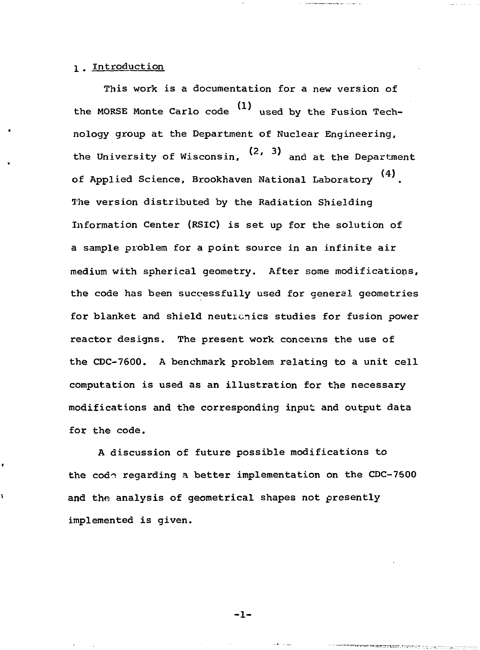## 1 . Introduction

٠

ī

This work is a documentation for a new version of the MORSE Monte Carlo code  $(1)$  used by the Fusion Technology group at the Department of Nuclear Engineering, the University of Wisconsin, <sup>(2, 3)</sup> and at the Department (4) of Applied Science, Brookhaven National Laboratory The version distributed by the Radiation Shielding Information Center (RSIC) is set up for the solution of a sample problem for a point source in an infinite air medium with spherical geometry. After some modifications, the code has been successfully used for general geometries for blanket and shield neuticnics studies for fusion power reactor designs. The present work concerns the use of the CDC-7600. A benchmark problem relating to a unit cell computation is used as an illustration for the necessary modifications and the corresponding input and output data for the code.

A discussion of future possible modifications to the code regarding a better implementation on the CDC-7500 and the analysis of geometrical shapes not presently implemented is given.

-1-

**SERECENTE L'UNITER L'UN L'ENTRE**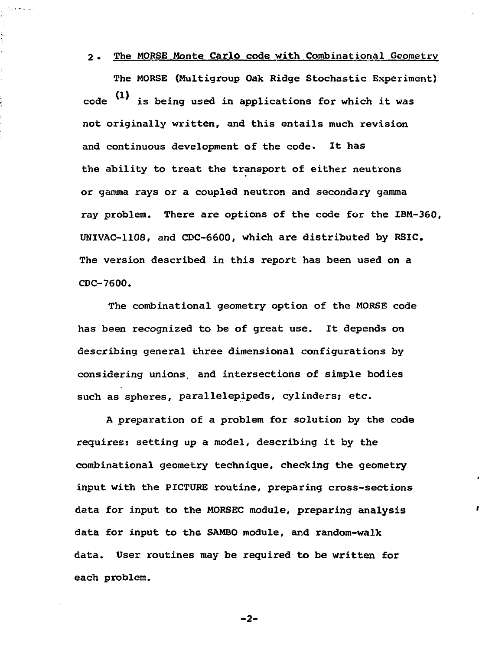### 2• The MORSE Monte Carlo code with Combinational Geometry

is.<br>D

The MORSE (Multigroup Oak Ridge Stochastic Experiment)  $code$  (1) is being used in applications for which it was not originally written, and this entails much revision and continuous development of the code- It has the ability to treat the transport of either neutrons or gamma rays or a coupled neutron and secondary gamma ray problem. There are options of the code for the IBM-360, UNIVAC-1108, and CDC-6600, which are distributed by RSIC. The version described in this report has been used on a CDC-7600.

The combinational geometry option of the MORSE code has been recognized to be of great use. It depends on describing general three dimensional configurations by considering unions, and intersections of simple bodies such as spheres, parallelepipeds, cylinders; etc.

A preparation of a problem for solution by the code requires: setting up a model, describing it by the combinational geometry technique, checking the geometry input with the PICTURE routine, preparing cross-sections data for input to the MORSEC module, preparing analysis data for input to the SAMBO module, and random-walk data. User routines may be required to be written for each problem.

 $-2-$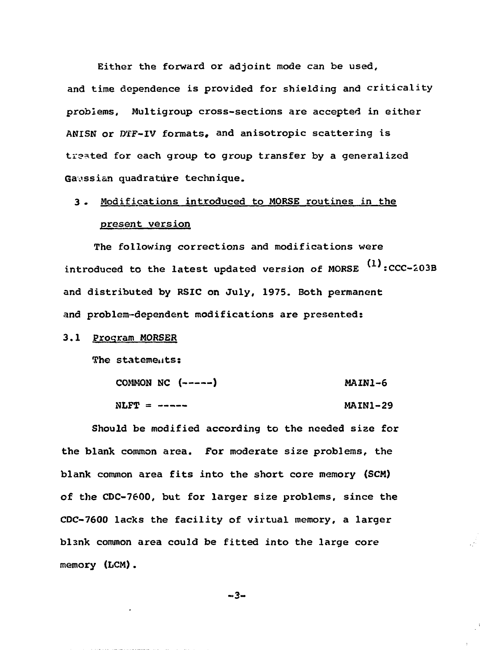Either the forward or adjoint mode can be used, and time dependence is provided for shielding and criticality problems, Multigroup cross-sections are accepted in either ANISN or DTF-IV formats, and anisotropic scattering is treated for each group to group transfer by a generalized Gaussian quadrature technique.

# 3. Modifications introduced to MORSE routines in the present version

The following corrections and modifications were introduced to the latest updated version of MORSE  $\mathbf{^{t1}}$ :CCC-203E and distributed by RSIC on July, 1975. Both permanent and problem-dependent modifications are presented:

## 3,1 Program MORSER

The statements:

|                 | COMMON NC $(----)$ | MAIN1-6         |
|-----------------|--------------------|-----------------|
| $N$ LFT = $---$ |                    | <b>MAIN1-29</b> |

Should be modified according to the needed size for the blank common area. For moderate size problems, the blank common area fits into the short core memory (SCM) of the CDC-7600, but for larger size problems, since the CDC-7600 lacks the facility of virtual memory, a larger blank common area could be fitted into the large core memory (LCM).

$$
-3-
$$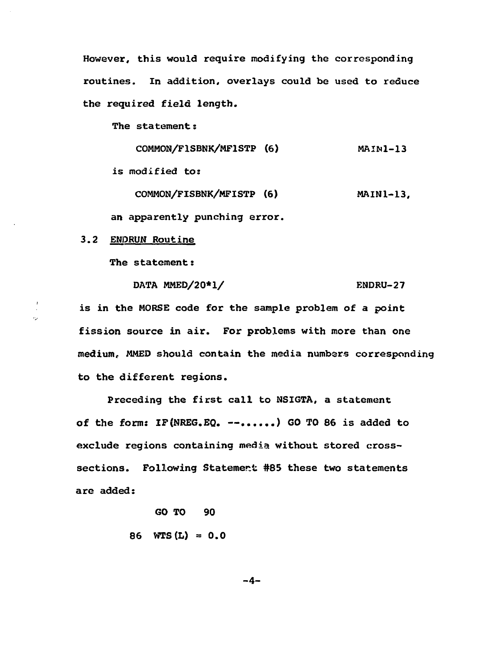However, this would require modifying the corresponding routines. In addition, overlays could be used to reduce the required field length.

The statement:

COMMON/FISBNK/MF1STP (6) MAIN1-13

is modified to:

COMMON/FISBNK/MFISTP (6) MAIN1-13,

an apparently punching error.

3.2 ENDRUN Routine

 $\frac{1}{2}$ 

The statement:

DATA MMED/20\*1/  $\blacksquare$ 

is in the MORSE code for the sample problem of a point fission source in air. For problems with more than one medium, MMED should contain the media numbers corresponding to the different regions.

Preceding the first call to NSIGTA, a statement of the form:  $IF(NREG, EQ, --, ..., )$  GO TO 86 is added to exclude regions containing media without stored crosssections. Following Statement #85 these two statements are added:

> GO TO 90 86  $WTS(L) = 0.0$

> > -4-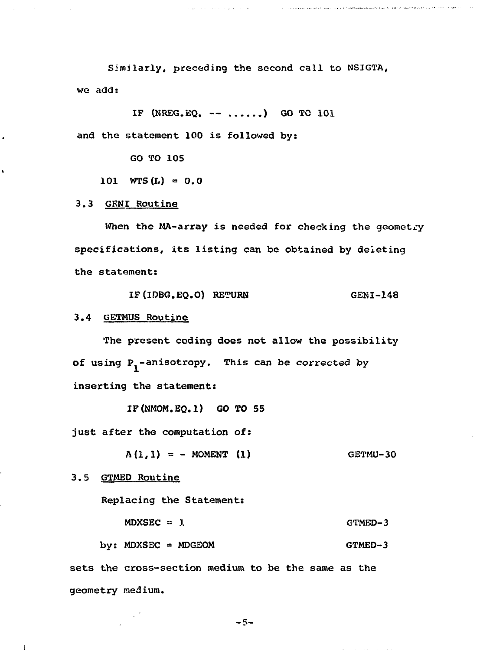Similarly, preceding the second call to NSIGTA, we add:

.<br>The consistency of the contract of the contract of the construction of the contract of the contract of the contract of the contract of the contract of the contract of the contract of the contract of the contract of the c

IF (NREG.EQ.  $-- \ldots$ .) GO TO 101 and the statement 100 is followed by:

GO TO 105

101  $WTS(L) = 0.0$ 

3.3 GENI Routine

When the MA-array is needed for checking the geometry specifications, its listing can be obtained by deieting the statement:

IF(IDBG.EQ.O) RETURN GENI-148

3.4 GETMUS Routine

The present coding does not allow the possibility of using  $P_i$ -anisotropy. This can be corrected by inserting the statement:

IF(NMOM.EQ.l) GO TO 55

just after the computation of:

 $A(1,1) = -$  MOMENT (1) GETMU-30

3.5 GTMED Routine

 $\mathbf{f}$ 

Replacing the Statement:

 $MDXSEC = 1$  GTMED-3

by:  $MDXSEC = MDGEOM$  GTMED-3

sets the cross-section medium to be the same as the geometry medium.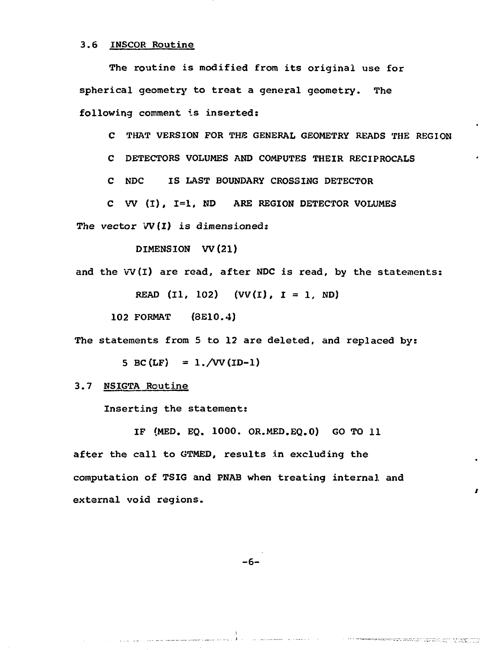#### 3.6 INSCOR Routine

The routine is modified from its original use for spherical geometry to treat a general geometry. The following comment is inserted:

C THAT VERSION FOR THB GENERAL GEOMETRY READS THE REGION

C DETECTORS VOLUMES AND COMPUTES THEIR RECIPROCALS

C NDC IS LAST BOUNDARY CROSSING DETECTOR

C W (I), 1=1, ND ARE REGION DETECTOR VOLUMES

The vector  $VV(1)$  is dimensioned:

DIMENSION W(21)

and the W(I) are read, after NDC is read, by the statements:

READ (I1, 102)  $(VV(I), I = 1, ND)$ 

102 FORMAT (3E10.4)

The statements from 5 to 12 are deleted, and replaced by:

5 BC(LF) =  $1./VV$ (ID-1)

3.7 NSIGTA Routine

Inserting the statement:

IF (MED. EQ. 1000. OR.MED.EQ.0) GO TO 11 after the call to GTMED, results in excluding the computation of TSIG and PNAB when treating internal and external void regions.

-6-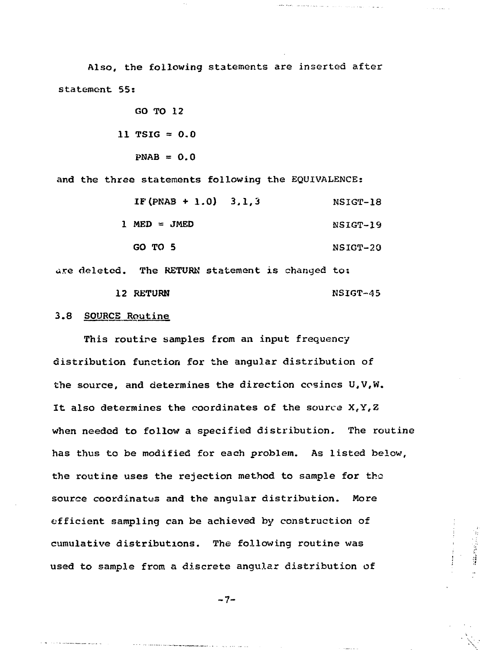Also, the following statements are inserted after statement 55:

> GO TO 12 11 TSIG  $= 0.0$  $PNAB = 0.0$

and the three statements following the EQUIVALENCE:

 $IF (PNAB + 1.0) 3,1,3$  NSIGT-18  $1 \text{ MED} = \text{JMED}$  NSIGT-19 GO TO 5 NSIGT-20

المواليق للوارد والمتعاد والراجية المتاريب الواردون للمتحدث ومتعاديه ومعاهدة

**HEARING** 

are deleted. The RETURN statement is changed to: 12 RETURN NSIGT-45

#### 3.8 SOURCE Routine

This routine samples from an input frequency distribution function for the angular distribution of the source, and determines the direction cosines U,V,W. It also determines the coordinates of the source X,Y,Z when needed to follow a specified distribution. The routine has thus to be modified for each problem. As listed below, the routine uses the rejection method to sample for the source coordinates and the angular distribution. More efficient sampling can be achieved by construction of cumulative distributions. The following routine was used to sample from a discrete angular distribution of

 $-7-$ 

<u>.</u><br>The contract contract of the contract of the contract of the contract of the contract of the contract of the contract of the contract of the contract of the contract of the contract of the contract of the contract of t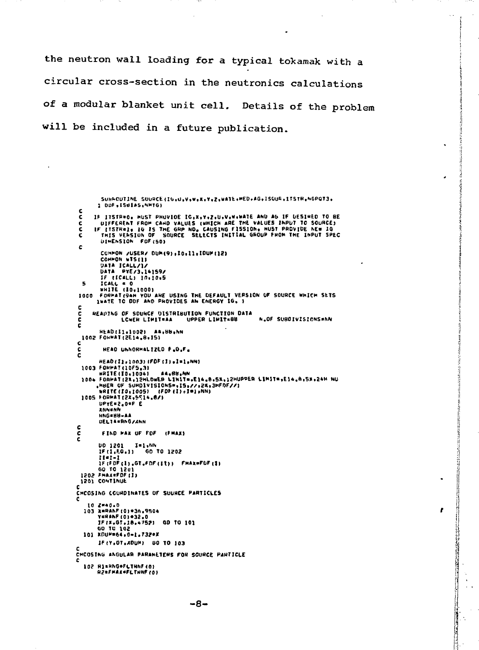the neutron wall loading for a typical tokamak with a circular cross-section in the neutronics calculations of a modular blanket unit cell. Details of the problem will be included in a future publication.

 $\ddot{\phantom{a}}$ 

f

THE PARTIES OF STREET

```
SUNHOUTINE SOURCE(IG+U+V+W+X+Y+Z+WATE+MED+AG+ISOUR+ITSTR+NGPGT3+
         1 DDF, ISBIAS, NMTG)
 \mathbf cIF ITSTR#0, MUST PHOVIDE IG,X,Y,Z,U,V,W,WATE AND AG IF DESIMED TO BE<br>DIFFERENT FROM CAND VALUES (WHICH ARE THE VALUES INPUT TO SOURCE)<br>IF ITSTN#1, IG IS THE GRP NO. CAUSING FISSION, NUST PROVIDE NEW IG<br>THIS VENSION OF SOUR
 č
 \frac{\mathsf{c}}{\mathsf{c}}DIMENSION FOF (50)
 ċ
          COMMON /USER/ DUM(9),IO.II.IDUM(12)<br>COMMON WIS(1)
          DATA ICALL/1/<br>DATA ICALL/1/<br>DATA PYE/3,14159/
        DATA PICZALLA IN:<br>ICALL = 0<br>ICALL = 0<br>ICALL = 0<br>IMATE TO DUP AND ANE USING THE DEFAULT VERSION OF SOURCE WHICH SETS<br>FORPAT(SAH YOU AND PHOVIDES AN ENERGY IG, )
  \mathbf{r}_i1000
 c
       READING OF SOUNCE DISTRIBUTION FUNCTION DATA
\frac{c}{c}LOWER LIMITEAA
                                              UPPER LIMIT=88
                                                                               N.OF SUBDIVISIONS=NN
č
          HEAD(I1+1002) AA,BB,NN
1002 FORMAT (2E14,8.15)
\frac{c}{c}READ UNNORMALIZED F.O.F.
          HEAD(I),1003)(FDF(I),1=1,NN)
  1003 FORMAT (10F5.3)
                                    A_4, B_5, NNPODE FORMATI2N.12HLOWER LIMIT=.E14.0.5X.12HUPPER LIMIT=.E14.0.5X.24H NU<br>PODE OF SUMDIVISIONS=.IS.//.2N.12HFDF//1<br>RRITE(TO.1005) (FDD:11510NS=.IS.//.2N.12HFDF//1<br>IOOS FORMAT(2X.5514.0/)
         UPYE=2,0*F E
          INNENN
          HNG*HH-AA
         DELTA=RNG/SNN
\frac{c}{c}FIND MAX OF FOF (FMAX)
ċ
         00 1201 1
                       11 - 1IF (FDF (1) .GT.FDF (11)) FHAX=FDF (1)
 GO TO 1201
 1201 CONTINUE
ċ
CHCOSING COURDINATES OF SUURCE PARTICLES
   10 Z=40.0<br>103 X=BANF(0)+36.9504
         Y=RANF(0)=32.0<br>IF(X.GT.18.4752) GD TO 101
         GD TU 102
   101 KDUP=64.0-1.732*X
         IF (Y.01.ADUM) 60 TO 103
CHOOSING ANGULAR PARAMETERS FOR SOURCE PARTICLE
c
   102 HIRNGOFLINNF (0)<br>HZRFMAXOFLINNF (0)
```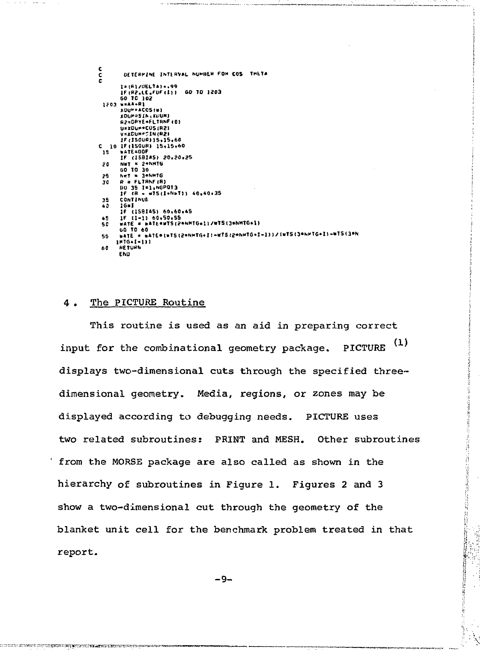| c   |                                                                   |
|-----|-------------------------------------------------------------------|
| c   | DETERMINE INTERVAL NUMBER FOR COS THETA                           |
| Ċ   |                                                                   |
|     | 1=(F1/UELTA) +.99                                                 |
|     | IF (R2.LE.FUF(1)) GD TO 1203                                      |
|     | 50 10 102                                                         |
|     | 1203 w=AA+R1                                                      |
|     | <b>XUUMFACOSIMI</b>                                               |
|     | <b><i>KOUP=SIN (XUUM)</i></b>                                     |
|     | <b>A2=DPYE=FLTRNF(0)</b>                                          |
|     | U=IDUM*COSIR2)                                                    |
|     | V=xCUM=SIN(R2)                                                    |
|     | 1F:150UR115,15,60                                                 |
|     | C 10 IF(150UR) 15,15,60                                           |
| 15  | <b>WATE=DOF</b>                                                   |
|     | IF (15814S) 20.20.25                                              |
| 20  | NUT = 2*NMTG                                                      |
|     | 60 10 30                                                          |
| 25. | Net = 3*NMTG                                                      |
| 30  | $R = FLJRNFIR$                                                    |
|     | DO 35 I=1.NGPOT3                                                  |
|     | IF IR = w75(1+N+T)) 40,40+35                                      |
| 35  | <b>CONTINUE</b>                                                   |
| 40  | 16=1                                                              |
|     | IF (ISBIAS) 60,60,45                                              |
| 45  | 1F (1-1) 60.50.55                                                 |
| 50  | wate = wate=wis(2+NMTG+1)/wis(3+NMTG+1)                           |
|     | <b>60 TO 60</b>                                                   |
| 55  | wATE = wATE=(wTS(2=NHTG+I)=wTS(2=NHTG+1-1))/(wTS(3=NHTG+1)=WTS(3= |
|     | $1116.1 - 111$                                                    |
| 60  | <b>HETURN</b>                                                     |
|     | <b>END</b>                                                        |

#### The PICTURE Routine 4.

This routine is used as an aid in preparing correct PICTURE<sup>(1)</sup> input for the combinational geometry package. displays two-dimensional cuts through the specified threedimensional geometry. Media, regions, or zones may be displayed according to debugging needs. PICTURE uses two related subroutines: PRINT and MESH. Other subroutines from the MORSE package are also called as shown in the hierarchy of subroutines in Figure 1. Figures 2 and 3 show a two-dimensional cut through the geometry of the blanket unit cell for the benchmark problem treated in that report.

1992年10月10日10月12日,1992年1月1日,1992年10月1日,1992年10月1日,1992年1月1日,1992年1月1日,1992年1月1日,1992年1月1日,1992年1月1日,

 $-9-$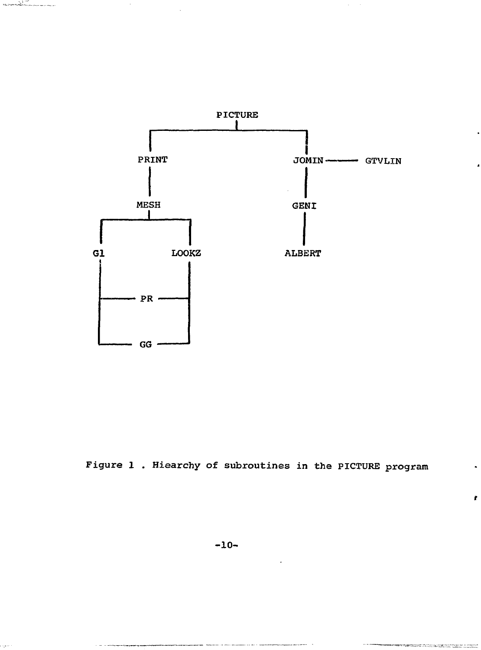

**SERVER AND THE SERVER OF THE 21** 

Figure 1 . Hiearchy of subroutines in the PICTURE program

ř

.<br>ניתן, ישראלי היה לא היה לא נוספים של האפריאי

**The Commission of France**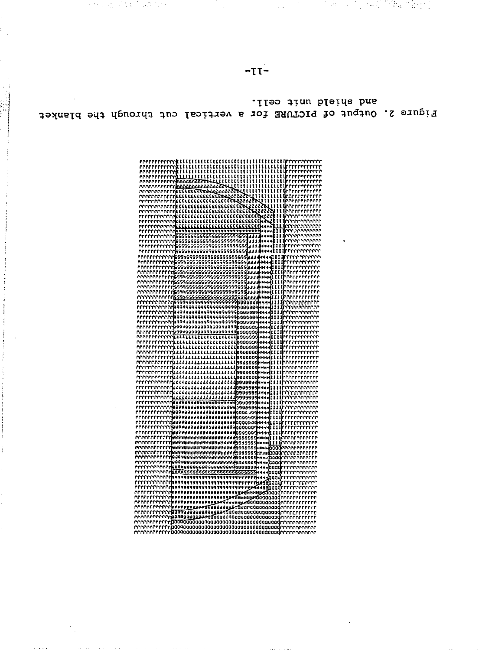| 'rrrrrrrrrrr<br>rrececeered                                                                                                                                                                                                                                                                                                                                                                                                                                                                                                                                                                                                                                        |
|--------------------------------------------------------------------------------------------------------------------------------------------------------------------------------------------------------------------------------------------------------------------------------------------------------------------------------------------------------------------------------------------------------------------------------------------------------------------------------------------------------------------------------------------------------------------------------------------------------------------------------------------------------------------|
| rrerererrerektt<br>រះເ<br>, Arrerete                                                                                                                                                                                                                                                                                                                                                                                                                                                                                                                                                                                                                               |
| uu<br>t<br>t<br>t<br>ш<br>rrrrrrrrrrr<br>٠r<br>errert<br>i<br>t                                                                                                                                                                                                                                                                                                                                                                                                                                                                                                                                                                                                    |
| ţ<br>enenenenen<br>ш<br>Ħ<br>ŧ<br>'rrrrrrr<br>errrrrrrrrrr<br>2223555559                                                                                                                                                                                                                                                                                                                                                                                                                                                                                                                                                                                           |
| ******** <u>******</u> *********                                                                                                                                                                                                                                                                                                                                                                                                                                                                                                                                                                                                                                   |
| <b>CONTRACTES</b><br>۴r<br>55555555                                                                                                                                                                                                                                                                                                                                                                                                                                                                                                                                                                                                                                |
| 2685555<br>rrrrrrrrre<br>m                                                                                                                                                                                                                                                                                                                                                                                                                                                                                                                                                                                                                                         |
| !!!!!!!<br>rrrrrrrrre<br>2555555<br>ະເວລາວາວວາວວາ                                                                                                                                                                                                                                                                                                                                                                                                                                                                                                                                                                                                                  |
| יריריריריריה<br>הררריריריריה<br><b>5555553953333333333333333333</b>                                                                                                                                                                                                                                                                                                                                                                                                                                                                                                                                                                                                |
| theconom<br><b>ננו ככנכננו ננו בננו ננו בנו ליג</b><br>nerrrerr<br>*rrrr^rrrr                                                                                                                                                                                                                                                                                                                                                                                                                                                                                                                                                                                      |
| Innerenn<br>'rrrrrrrrrr<br>u                                                                                                                                                                                                                                                                                                                                                                                                                                                                                                                                                                                                                                       |
| rrrrrrrrrrr                                                                                                                                                                                                                                                                                                                                                                                                                                                                                                                                                                                                                                                        |
| ,,,,,,,,,,,,,,,,,,,,,,,,,,,,,,<br>'rrrrrrrrrr                                                                                                                                                                                                                                                                                                                                                                                                                                                                                                                                                                                                                      |
|                                                                                                                                                                                                                                                                                                                                                                                                                                                                                                                                                                                                                                                                    |
| 722222222222222222222222111111<br>وممع                                                                                                                                                                                                                                                                                                                                                                                                                                                                                                                                                                                                                             |
| нирттік<br>(нни <b>) I</b>                                                                                                                                                                                                                                                                                                                                                                                                                                                                                                                                                                                                                                         |
| 69999999999999999999999999999<br>3 <b>A</b> DANNI I I II<br>errrrrrr<br>ы                                                                                                                                                                                                                                                                                                                                                                                                                                                                                                                                                                                          |
| وددنا<br>нны 111<br>.uuruu                                                                                                                                                                                                                                                                                                                                                                                                                                                                                                                                                                                                                                         |
| 65555555555555555555555555555<br>ansa <mark>itt</mark><br>۰,                                                                                                                                                                                                                                                                                                                                                                                                                                                                                                                                                                                                       |
| 11<br>iMale                                                                                                                                                                                                                                                                                                                                                                                                                                                                                                                                                                                                                                                        |
| 6999999<br>5555555555555555333                                                                                                                                                                                                                                                                                                                                                                                                                                                                                                                                                                                                                                     |
| 5555555555555555555555555555                                                                                                                                                                                                                                                                                                                                                                                                                                                                                                                                                                                                                                       |
|                                                                                                                                                                                                                                                                                                                                                                                                                                                                                                                                                                                                                                                                    |
| 11                                                                                                                                                                                                                                                                                                                                                                                                                                                                                                                                                                                                                                                                 |
|                                                                                                                                                                                                                                                                                                                                                                                                                                                                                                                                                                                                                                                                    |
|                                                                                                                                                                                                                                                                                                                                                                                                                                                                                                                                                                                                                                                                    |
|                                                                                                                                                                                                                                                                                                                                                                                                                                                                                                                                                                                                                                                                    |
| nn<br>errrrrrrrrrr                                                                                                                                                                                                                                                                                                                                                                                                                                                                                                                                                                                                                                                 |
| proceccecer<br>rri                                                                                                                                                                                                                                                                                                                                                                                                                                                                                                                                                                                                                                                 |
| mercerererer<br>Mercerererer                                                                                                                                                                                                                                                                                                                                                                                                                                                                                                                                                                                                                                       |
| errrerrrrrr                                                                                                                                                                                                                                                                                                                                                                                                                                                                                                                                                                                                                                                        |
| .<br>HNNel <mark>i</mark><br>errerrer                                                                                                                                                                                                                                                                                                                                                                                                                                                                                                                                                                                                                              |
| ราวออก<br>ราวออก<br>n<br>rrrrrr<br>didigel                                                                                                                                                                                                                                                                                                                                                                                                                                                                                                                                                                                                                         |
| اممه                                                                                                                                                                                                                                                                                                                                                                                                                                                                                                                                                                                                                                                               |
| ний                                                                                                                                                                                                                                                                                                                                                                                                                                                                                                                                                                                                                                                                |
|                                                                                                                                                                                                                                                                                                                                                                                                                                                                                                                                                                                                                                                                    |
|                                                                                                                                                                                                                                                                                                                                                                                                                                                                                                                                                                                                                                                                    |
| 440 O.O                                                                                                                                                                                                                                                                                                                                                                                                                                                                                                                                                                                                                                                            |
| 111<br>,,,,,,,,                                                                                                                                                                                                                                                                                                                                                                                                                                                                                                                                                                                                                                                    |
| nna dia<br>Nanadia                                                                                                                                                                                                                                                                                                                                                                                                                                                                                                                                                                                                                                                 |
|                                                                                                                                                                                                                                                                                                                                                                                                                                                                                                                                                                                                                                                                    |
| $\begin{smallmatrix} \color{red}{\begin{smallmatrix} \color{red}{\begin{smallmatrix} \color{red}{\begin{smallmatrix} \color{red}{\begin{smallmatrix} \color{red}{\begin{smallmatrix} \color{red}{\begin{smallmatrix} \color{red}{\begin{smallmatrix} \color{red}{\begin{smallmatrix} \color{red}{\begin{smallmatrix} \color{red}{\begin{smallmatrix} \color{red}{\begin{smallmatrix} \color{red}{\begin{smallmatrix} \color{red}{\begin{smallmatrix} \color{red}{\begin{smallmatrix} \color{red}{\begin{smallmatrix} \color{red}{\begin{smallmatrix} \color{red}{\begin{smallmatrix} \color{red}{\begin{smallmatrix} \color{red}{\begin{smallmatrix} \color{red}{$ |
|                                                                                                                                                                                                                                                                                                                                                                                                                                                                                                                                                                                                                                                                    |
|                                                                                                                                                                                                                                                                                                                                                                                                                                                                                                                                                                                                                                                                    |
| 00000000000000000000000000000<br>441 L L L<br>rrr                                                                                                                                                                                                                                                                                                                                                                                                                                                                                                                                                                                                                  |
| <b>ֈ֍ՠ֍ՠՠ֍֍ՠ֍ՠՠՠ֎ՠՠՠ֍ՠֈ</b><br>ֈ֍ՠՠ֎֎ՠ֍֎֎ՠ֎֎ՠ֍֎ՠՠՠ֎ֈ֎֎֎֎֎֎<br>ֈ֍֎֎֎֎֎֎֎֎֎ՠ֎֎ՠ֎֎֎֎ՠՠՠ<br>ннч (111)                                                                                                                                                                                                                                                                                                                                                                                                                                                                                                                                                                  |
| 1111                                                                                                                                                                                                                                                                                                                                                                                                                                                                                                                                                                                                                                                               |
| 1111<br><b>OBONGON NHOUNGEGOG GOOD GOOD DO</b>                                                                                                                                                                                                                                                                                                                                                                                                                                                                                                                                                                                                                     |
| www.caesasasa.comme<br>Lugaasasasasasasa<br>Lugaasasasasasasa                                                                                                                                                                                                                                                                                                                                                                                                                                                                                                                                                                                                      |
| aaaa                                                                                                                                                                                                                                                                                                                                                                                                                                                                                                                                                                                                                                                               |
|                                                                                                                                                                                                                                                                                                                                                                                                                                                                                                                                                                                                                                                                    |
|                                                                                                                                                                                                                                                                                                                                                                                                                                                                                                                                                                                                                                                                    |
|                                                                                                                                                                                                                                                                                                                                                                                                                                                                                                                                                                                                                                                                    |
| มนป<br>0000000000000000000000000000                                                                                                                                                                                                                                                                                                                                                                                                                                                                                                                                                                                                                                |
| ,,,,,,,,,,,,,,,,,,,,,<br>baadrrrrrrrrrr<br>(Hvel                                                                                                                                                                                                                                                                                                                                                                                                                                                                                                                                                                                                                   |
|                                                                                                                                                                                                                                                                                                                                                                                                                                                                                                                                                                                                                                                                    |
|                                                                                                                                                                                                                                                                                                                                                                                                                                                                                                                                                                                                                                                                    |
|                                                                                                                                                                                                                                                                                                                                                                                                                                                                                                                                                                                                                                                                    |
| тЯнааны ааба∩                                                                                                                                                                                                                                                                                                                                                                                                                                                                                                                                                                                                                                                      |
| <b>AATT+AQQUARRASTQ10U0000</b>                                                                                                                                                                                                                                                                                                                                                                                                                                                                                                                                                                                                                                     |
| 00000000008888888888888888                                                                                                                                                                                                                                                                                                                                                                                                                                                                                                                                                                                                                                         |
| n Pi<br>т.                                                                                                                                                                                                                                                                                                                                                                                                                                                                                                                                                                                                                                                         |
| rr <b>paaudaudooddooddaaddaadaaddaadadd</b> rrrrrrr<br>m                                                                                                                                                                                                                                                                                                                                                                                                                                                                                                                                                                                                           |
| rrrrrrrrrr                                                                                                                                                                                                                                                                                                                                                                                                                                                                                                                                                                                                                                                         |
|                                                                                                                                                                                                                                                                                                                                                                                                                                                                                                                                                                                                                                                                    |
|                                                                                                                                                                                                                                                                                                                                                                                                                                                                                                                                                                                                                                                                    |

sng epieja nuit cell. Figure 2. Output of PICTURE for a vertical cut through the blanket

P,

 $-TI-$ 

医粘液 医异常性贫血 医水杨酸 (CLASS To A Tribe Service ARC) (12) 2012 12:20:00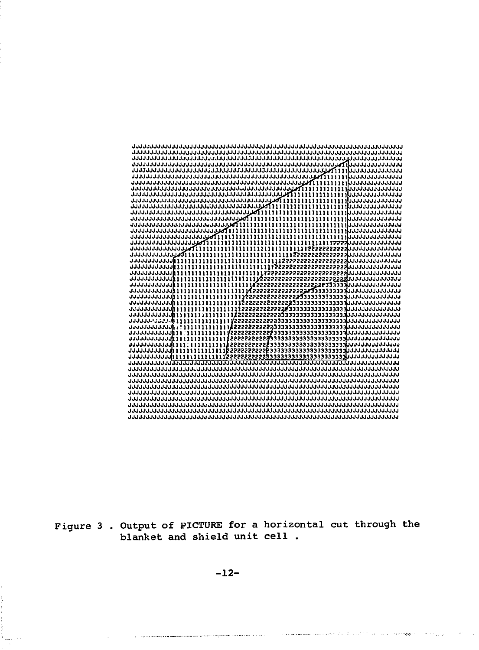| <u>ئىلىنىڭ ئىلىنى ئىلىنى ئىلوگىنى ئىلىنى ئىلىنى ئىلىنى ئىلىنى ئىلىنى ئىلىنى ئىلىنى ئىلىنى ئىلىنى ئىلىنى ئىلىنى ئىلىنى ئىلىنى ئى</u> |  |
|-------------------------------------------------------------------------------------------------------------------------------------|--|
|                                                                                                                                     |  |
|                                                                                                                                     |  |
|                                                                                                                                     |  |
| าการวางการจำการการการการการการการการการการการการการที่พื้น £ £ £ £ £ £ £ £ £ £ £ £ £ £ การการการการการ                              |  |
|                                                                                                                                     |  |
|                                                                                                                                     |  |
|                                                                                                                                     |  |
|                                                                                                                                     |  |
|                                                                                                                                     |  |
|                                                                                                                                     |  |
|                                                                                                                                     |  |
|                                                                                                                                     |  |
|                                                                                                                                     |  |
|                                                                                                                                     |  |
|                                                                                                                                     |  |
|                                                                                                                                     |  |
|                                                                                                                                     |  |
|                                                                                                                                     |  |
|                                                                                                                                     |  |
|                                                                                                                                     |  |
|                                                                                                                                     |  |
|                                                                                                                                     |  |
|                                                                                                                                     |  |
|                                                                                                                                     |  |
|                                                                                                                                     |  |
|                                                                                                                                     |  |
|                                                                                                                                     |  |
|                                                                                                                                     |  |
|                                                                                                                                     |  |
| ากกากกากกากๆไม่ มีมีมีมีมีมีมีมีมีมีมีมีผู้ระธรรรรย์สูงขอขอขอขอขอขอขอขอขอขอกกากกากกากกากกา                                          |  |
|                                                                                                                                     |  |
|                                                                                                                                     |  |
|                                                                                                                                     |  |
|                                                                                                                                     |  |
|                                                                                                                                     |  |
|                                                                                                                                     |  |
|                                                                                                                                     |  |
|                                                                                                                                     |  |
|                                                                                                                                     |  |
|                                                                                                                                     |  |
|                                                                                                                                     |  |
|                                                                                                                                     |  |
|                                                                                                                                     |  |

Figure 3 . Output of PICTURE for a horizontal cut through the blanket and shield unit cell .

a<del>n a maraora para manana pana</del> ban ann an ann an na na banana banana cara an Alba (ba 2000) ann an 1990. Tha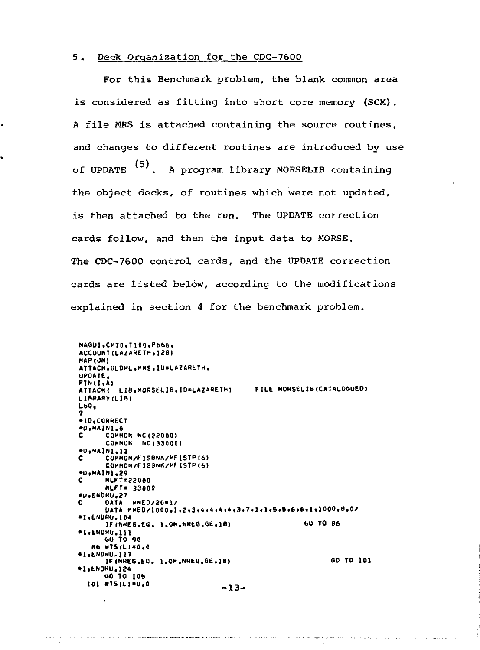#### 5. Deck Organization for the CDC-7600

ż

ĥ

For this Benchmark problem, the blank common area is considered as fitting into short core memory (SCM). A file MRS is attached containing the source routines, and changes to different routines are introduced by use of UPDATE (5). A program library MORSELIB containing the object decks, of routines which were not updated, is then attached to the run. The UPDATE correction cards follow, and then the input data to MORSE. The CDC-7600 control cards, and the UPDATE correction cards are listed below, according to the modifications explained in section 4 for the benchmark problem.

MAGUI.CP70.T100.P666. ACCUUNT (LAZARETH . 128) MAP (ON) ATTACH, OLDPL, MHS, ID=LAZARETH. UPDATE. FINII.A) ATTACH( LIB, MORSELIB, ID=LAZARETH) FILE MORSELIB(CATALOGUED) LIBRARY (LIB)  $L<sub>00</sub>$ .ID, CORRECT #U.MAINI.6  $\mathbf{c}$ **COMMON NC (22000)** COMMON NC (33000) eD.MAIN1.13<br>C COMMON/FISBNK/MFISTPI6) COMMON/FISBNK/MFISTP(6) eu, MAIN1.29<br>C NLFT=22000 NLFT= 33000 *<u>OU.ENDRU.27</u>* DATA MMED/20\*1/ DATA MMED/1000,1,2,3,4,4,4,4,4,3,7,1,1,5,5,6,6,6,1,1000,8,0/  $*1.$ ENDRU.104 **60 TO B6** IF (NREG.EG. 1.OH.NREG.GE.18) \*I.ENDHU.111 **GU TO 90** 86 WTS(L)=0.0 #I.ENDHU.117 GO TO 101 IF (NREG.EQ. 1.OR.NREG.GE.18) ·I.LNDRU.124 **GO TO 105** 101 #75(L)=0.0  $-13-$ 

K)

 $\ddot{\phantom{0}}$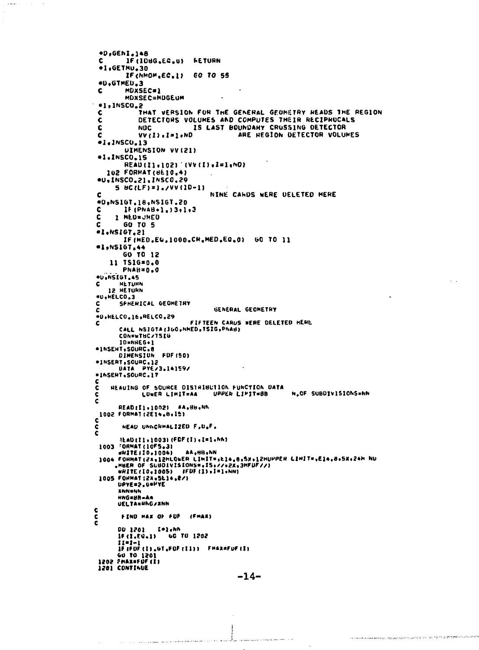```
#D, GENI, 148
       IF (IDBG.EG.U) FETURN
 Ċ.
 *1.GETHU.30
         IF (NMOM.EC.1) 60 TO 55
 #D.GTMED.3
        MDXSEC=1
 c
        MDXSEC=MDGEUM
                                    \ddot{\phantom{a}}-1,1<sub>N</sub>SCO<sub>2</sub>2C
             THAT VERSION FOR THE GENERAL GEOMETRY READS THE REGION
            DETECTORS VOLUMES AND COMPUTES THEIR RECIPROCALS
 \mathbf cĊ
                           IS LAST BOUNDARY CRUSSING DETECTOR
            NOC.
                                        ARE REGION DETECTOR VOLUMES
 c
            VV(1). I=1. ND
 -1.1NSCO.13
        UIMENSION VVIZII
 +1.1NSCO.15
        READ(I1,102) (VV(I),I=1,NO)
   102 FORMAT (UE10.4)
 #U, INSCO.21, INSCO.29
     5 60 (LF) = 1.700 (10-1)NINE CAHOS WERE DELETED HERE
 c
 40,NS1GT,18,NS1GT.20
c
        IF (PNAB+1, ) 3, 1, 3
Ċ
     1 MED=JMED
        GO TO 5
c
#1,NSIGT.21
        IF(MED.EU.1000.CR.MED.E0.0) 60 TO 11
#1,NS167,44
        GO TO 12
    11 TSIG=0.0
       PNAH=0.0
·U.NSIGT.45
c
      HETURN
   12 HETURN
«U, HELCO.3
      SPHENICAL GEOMETRY
Ċ
                                  GENERAL GEOMETRY
*D.RELCO.16.RELCO.29
                           FIFTEEN CARUS WERE DELETED HEME
c
       CALL NSIGTA (160, NMED, TSIG, PNAB)
       CONFWTBC/TSIG
       ID=NREG+1
*INSEXT, SOURC.8
      DIMENSION FOF (50)
*INSERT, SOURC.12
      DATA PYEZ3.141592
*INSENT.SOURC.17
\frac{c}{c}HEAUING OF SQUHCE DISTRIBUTION FUNCTION DATA
                                                      N.OF SUBDIVISIONS=NN
                                 UPPER LIMIT=BB
\frac{c}{c}LOWER LIMIT=AA
      READ($1+1002)
                       AA, BU, NN
 1002 FORMAT (2E14.8.15)
C
Č
       HEAD UNNCHMALIZED F, U.F.
ċ
       READ (II+1003) (FDF(I)+1=1+NA)
 1003 FORMAT (10F5.3)
                         AA, HB, NN
      WHITE (10.1004)
 1004 FORMAT (2K, 12MLONER LIMIT=, E14, 8, SX, 12MUPPER LIMIT=, E14, 8, SX, 24M NU
 Suus runnai (24,12MLUNEH LIMIT#(E14,8,5%)[2MU)<br>|eHER OF SUBDIVISIONS#,15,77,02K,3MFUF77)<br>|WHITE(IO,1005)||FDF(I),1=1,000)<br>|DOS FORMAT{2X,5E14,87)<br>|DOS FORMAT{2X,5E14,87)<br>|EMMARE
      ENNENN
      HNG=BR-AA
      UELTARHNG/XNN
¢
č
       FIND HAX OF FUE (FHAX)
č
      DO 1201
                 I-l.NA
      16 (1.60.1) 60 TO 1202
      1 - 1 - 1IF IFOF (1) , GT .FOF (11)) FMAXAFUE (1)
 1201 CONTINUE
```
**Contract** 

**Contractor** 

```
-14-
```
 $\hat{f}_{\rm{max}}$  , and the second companion of the form of the contract second second

on second easy worker, requestioned by provincial and the countries on processes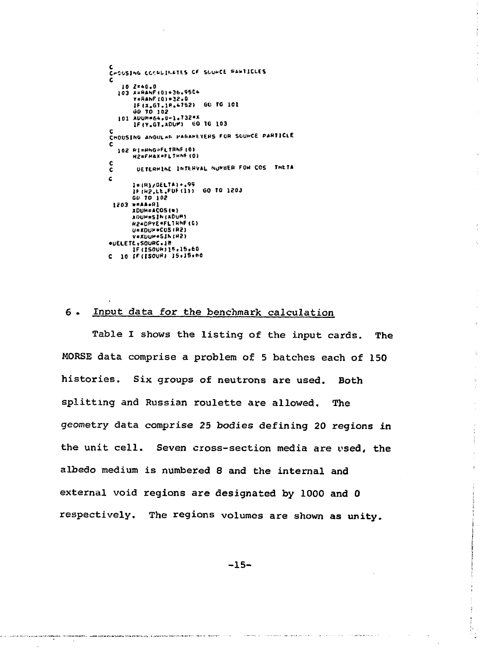```
C<br>CHOOSING COCHUINATES OF SUUHCE PANTICLES
    10 2=40.0
  103 X=RANF (0) = 36.95C+
       V=RANF (0) = 32.0
       IF(X<sub>e</sub>GI.1P.4752) GO TO 101<br>UP(X.GI.1P.4752) GO TO 101
  101 ADUM=64.0-1.732*X
       1F(Y.GT.ADUM) 60 TO 103
C<br>CHOUSING ANGULAR PARAMEYERS FOR SOURCE PARTICLE
c
  102 RI=RNG-FLTRNF (0)
       H2=FMAX=FLTHNF (0)
\mathbf cDETERMINE INTERVAL NUMBER FOR COS THETA
\tilde{\mathbf{c}}c.
       I = (R)/DELTA) ..99
       16 (H2, LE, FDF (1)) 60 TO 1203<br>GD 70 102
 1203 W=AA.RI
       XDUM=ACOS(*)
       ADUM=SIN(ADUM)
       R2=DPYE=FLIRNF(C)
       U=KOUN=CUS (R2)
       V=XUUM=SIN (H2)
*UELETE, SOURC.18
       IF (ISOUM) 15,15,60
C 10 IF(ISOUR) 15+15+60
```
#### $6.$ Input data for the benchmark calculation

Table I shows the listing of the input cards. The MORSE data comprise a problem of 5 batches each of 150 histories. Six groups of neutrons are used. Both splitting and Russian roulette are allowed. The geometry data comprise 25 bodies defining 20 regions in the unit cell. Seven cross-section media are vsed, the albedo medium is numbered 8 and the internal and external void regions are designated by 1000 and 0 respectively. The regions volumes are shown as unity.

Ŕ.

 $\hat{\mathbf{z}}$ 

Ÿ.

 $\gamma$ 

 $\bar{z}$ 

 $\frac{1}{3}$  $\frac{1}{2}$ 

 $\mathbf{r}$ 

ţ.

 $-15-$ 

and the second contract of the contract of the second contract of the second second contract of the second second second second second second second second second second second second second second second second second sec

.<br>Angamatan kata kata kata kata kata ya katika katika katika ta kata ya kata kata ya kata mwaka katika kata kata

 $\sim$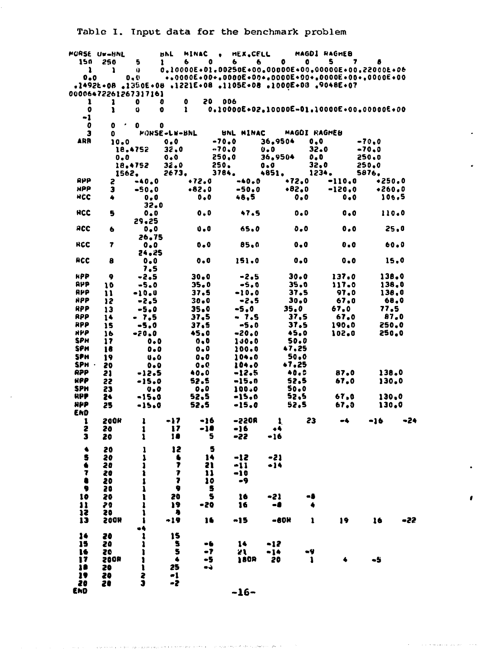Table I. Input data for the benchmark problem

|                   | MURSE UW-BNL      |                                                        | <b>BPL</b>                   | MINAC                                                                                                                             |               | <b>HEX, CELL</b> |   |                                           |              |               | MAGDI RAGMEB   |                             |                |                |     |
|-------------------|-------------------|--------------------------------------------------------|------------------------------|-----------------------------------------------------------------------------------------------------------------------------------|---------------|------------------|---|-------------------------------------------|--------------|---------------|----------------|-----------------------------|----------------|----------------|-----|
| 150               | 250               | 5                                                      | ı                            | 0<br>6                                                                                                                            |               | 6                | 6 | 0                                         |              | 0             | 5              |                             | 7              | 8              |     |
| ı<br>0.0          | ı                 | Ü.<br>0.0                                              |                              | 0.10000E-01.00250E-00.00000E-00.00000E-00.22000E-06<br>•• 0000E • 00 • • 0000E • 00 • • 0000E • 00 • • 0000E • 00 • • 00 00E • 00 |               |                  |   |                                           |              |               |                |                             |                |                |     |
|                   |                   | .14926.08.1350E.08.1221E.08.1105E.08.1000E.08.9048E.07 |                              |                                                                                                                                   |               |                  |   |                                           |              |               |                |                             |                |                |     |
|                   |                   | 00006472261267317161                                   |                              |                                                                                                                                   |               |                  |   |                                           |              |               |                |                             |                |                |     |
| ı                 | 1                 | 0                                                      | o                            | 0<br>20                                                                                                                           | 006           |                  |   |                                           |              |               |                |                             |                |                |     |
| $\bullet$         | ı                 | 0                                                      | o                            | $\mathbf{1}$                                                                                                                      |               |                  |   | 0.10000E+02.10000E-01.10000E-00.00000E+00 |              |               |                |                             |                |                |     |
| -1<br>0           | ٥                 | 0                                                      | o                            |                                                                                                                                   |               |                  |   |                                           |              |               |                |                             |                |                |     |
| з                 | 0                 |                                                        | <b>WORSE-LW-BNL</b>          |                                                                                                                                   |               | UNL MINAC        |   |                                           |              |               | MAGOI RAGHEU   |                             |                |                |     |
| ARR               | 10.0              |                                                        | 0.0                          |                                                                                                                                   | -70.0         |                  |   | 36.9504                                   |              | 0.0           |                |                             | $-70.0$        |                |     |
|                   |                   | 18,4752                                                | 32.0                         |                                                                                                                                   | -70.0         |                  |   | $0 - 0$                                   |              | 32.0          |                |                             | $-70.0$        |                |     |
|                   | $0 - 0$           |                                                        | $0 - 0$                      |                                                                                                                                   | 250.0         |                  |   | 36.9504                                   |              | O.O           |                |                             | <b>250.0</b>   |                |     |
|                   |                   | 18.4752<br>1562.                                       | 32.0<br>2673.                |                                                                                                                                   | 250.<br>3764. |                  |   | 0.0<br>4851.                              |              | 32,0<br>1234. |                |                             | 250.0<br>5876. |                |     |
| RPP               | 2                 | $-40.0$                                                |                              | •72.0                                                                                                                             |               | $-40.0$          |   |                                           | $+72.0$      |               | $-110,0$       |                             |                | $+250.0$       |     |
| HPP               | э                 | $-50.0$                                                |                              | $-82.0$                                                                                                                           |               | $-50.0$          |   |                                           | $+82.0$      |               | $-120.0$       |                             |                | •260.0         |     |
| HCC               | ۰                 | 0.0                                                    |                              | 0.0                                                                                                                               |               | 48.5             |   |                                           | 0.0          |               |                | 0.0                         |                | 106.5          |     |
|                   |                   | 32.0                                                   |                              |                                                                                                                                   |               |                  |   |                                           |              |               |                |                             |                |                |     |
| HCC               | 5                 | 0.0                                                    |                              | 0.0                                                                                                                               |               | 47.5             |   |                                           | 0.0          |               |                | 0.0                         |                | 110.0          |     |
| RCC               | 6                 | 29.25<br>0.0                                           |                              | 0.O                                                                                                                               |               | 65.0             |   |                                           | 0.0          |               |                | 0.0                         |                | 25.0           |     |
|                   |                   | 26.75                                                  |                              |                                                                                                                                   |               |                  |   |                                           |              |               |                |                             |                |                |     |
| HCC               | 7                 | $0 - 0$                                                |                              | 0.0                                                                                                                               |               | 85.0             |   |                                           | $0 - 0$      |               |                | $\mathbf{0}$ , $\mathbf{0}$ |                | 60.0           |     |
|                   |                   | 24.25                                                  |                              |                                                                                                                                   |               |                  |   |                                           |              |               |                |                             |                |                |     |
| ACC               | 8                 | 0.0                                                    |                              | 0.0                                                                                                                               |               | 151.0            |   |                                           | 0,0          |               |                | 0.0                         |                | 15.0           |     |
| <b>HPP</b>        |                   | 7.5                                                    |                              |                                                                                                                                   |               |                  |   |                                           |              |               |                |                             |                |                |     |
| RPP               | ۰<br>10           | -2.5<br>$-5.0$                                         |                              | 30.0<br>35.0                                                                                                                      |               | -2.5<br>$-5.0$   |   |                                           | 30.0<br>35.0 |               | 137.0<br>117.0 |                             |                | 138.0<br>138.0 |     |
| APP               | 11                | -10.0                                                  |                              | 37.5                                                                                                                              |               | $-10.0$          |   |                                           | 37.5         |               |                | 97.0                        |                | 138.0          |     |
| HPP               | 12                | -2.5                                                   |                              | 30.0                                                                                                                              |               | -2.5             |   |                                           | 30.0         |               |                | 67.0                        |                | 68.0           |     |
| RPP               | 13                | $-5.0$                                                 |                              | 35.0                                                                                                                              |               | -5.0             |   |                                           | 35.0         |               | 67.0           |                             |                | 77.5           |     |
| RPP               | 14                | - 7.5                                                  |                              | 37,5                                                                                                                              |               | $-7.5$           |   |                                           | 37,5         |               | 67.0           |                             |                | 87.0           |     |
| <b>RPP</b>        | 15                | -5.0                                                   |                              | 37.5                                                                                                                              |               | $-5.0$           |   |                                           | 37.5         |               | 190,0          |                             |                | 250.0          |     |
| <b>HPP</b><br>SPH | 16<br>17          | -20.0<br>$0 - 0$                                       |                              | 45.0<br>0.0                                                                                                                       |               | $-20.0$<br>100.0 |   |                                           | 45.0<br>50.0 |               | 102.0          |                             |                | 250.0          |     |
| SPH               | 18                | 0.0                                                    |                              | 0.0                                                                                                                               |               | 100.0            |   |                                           | 47,25        |               |                |                             |                |                |     |
| sPH               | 19                | $\mathbf{u}$ . O                                       |                              | 0.0                                                                                                                               |               | 104.0            |   |                                           | 50.0         |               |                |                             |                |                |     |
| SPH ·             | 20                | $0 - 0$                                                |                              | $0 - Q$                                                                                                                           |               | 104.0            |   |                                           | +7.25        |               |                |                             |                |                |     |
| RPP               | 21                | -12.5                                                  |                              | 40.0                                                                                                                              |               | -12.5            |   |                                           | 40.S         |               | 87.0           |                             |                | 138.0          |     |
| <b>HPP</b><br>SPH | 22                | -15.0                                                  |                              | 52.S                                                                                                                              |               | -15.0            |   |                                           | 52.5<br>50.0 |               | 67,0           |                             |                | 130.0          |     |
| upp               | 23<br>24          | $\bm{0}$ . O<br>-15.0                                  |                              | 0.0<br>52.5                                                                                                                       |               | 100.0<br>-15.0   |   |                                           | 52.5         |               | 67,0           |                             |                | 130.0          |     |
| HPP               | 25                | $-15.0$                                                |                              | 52.5                                                                                                                              |               | $-15.0$          |   |                                           | 52.5         |               | 67.0           |                             |                | 130.0          |     |
| END               |                   |                                                        |                              |                                                                                                                                   |               |                  |   |                                           |              |               |                |                             |                |                |     |
| 1                 | 200H              | ı                                                      | -17                          | -16                                                                                                                               |               | -220A            |   | 1.                                        |              | 23            | -4             |                             |                | -16            | -24 |
| г                 | 20                | 1                                                      | 17                           | -18                                                                                                                               |               | -16              |   |                                           |              |               |                |                             |                |                |     |
| з                 | 20                | 1                                                      | 18                           |                                                                                                                                   | 5             | -22              |   | -16                                       |              |               |                |                             |                |                |     |
| ٠                 | 20                | 1                                                      | 12                           |                                                                                                                                   | 5             |                  |   |                                           |              |               |                |                             |                |                |     |
| 5                 | 20                | ı                                                      | 6                            | 14                                                                                                                                |               | -12              |   | -21                                       |              |               |                |                             |                |                |     |
| 6<br>Ŧ            | 20<br>20          | ı<br>1                                                 | 7<br>$\overline{\mathbf{r}}$ | 21<br>-11                                                                                                                         |               | -11<br>$-10$     |   | -14                                       |              |               |                |                             |                |                |     |
|                   | 20                | 1                                                      | 7                            | 10                                                                                                                                |               | -9               |   |                                           |              |               |                |                             |                |                |     |
| ۰                 | 20                | Ã                                                      | ٠                            | $\overline{\phantom{a}}$                                                                                                          |               |                  |   |                                           |              |               |                |                             |                |                |     |
| 10                | 20                | ı                                                      | 20                           | -5                                                                                                                                |               | 16               |   | -21                                       |              | -8            |                |                             |                |                |     |
| 11                | 29                | ı                                                      | 19                           | -50                                                                                                                               |               | 16               |   | -8                                        |              | ۰             |                |                             |                |                |     |
| 12<br>13          | 20<br><b>200H</b> | $\bullet$<br>$\mathbf{I}$                              | 一角<br>-19                    | 16                                                                                                                                |               | -15              |   | -80H                                      |              | 1             | 19.            |                             |                | 16             | -22 |
|                   |                   | -4                                                     |                              |                                                                                                                                   |               |                  |   |                                           |              |               |                |                             |                |                |     |
| 14                | 20                | ı                                                      | 15                           |                                                                                                                                   |               |                  |   |                                           |              |               |                |                             |                |                |     |
| 15                | 20                | ı                                                      | -5                           | -6                                                                                                                                |               | 14               |   | $-12$                                     |              |               |                |                             |                |                |     |
| 16                | 20                | t                                                      | 5                            | -7                                                                                                                                |               | 21.              |   | $-14$                                     |              | -4            |                |                             |                |                |     |
| 17<br>19          | 200R<br>20        | 1<br>ı                                                 | $\clubsuit$<br>25            | $^{\circ}$<br>÷۰                                                                                                                  |               | 180P             |   | - 20                                      |              | $\mathbf{1}$  |                | ٠                           |                | -5             |     |
| 19                | 20                | \$                                                     | -1                           |                                                                                                                                   |               |                  |   |                                           |              |               |                |                             |                |                |     |
| 20                | 20                | Ĩ                                                      | -2                           |                                                                                                                                   |               |                  |   |                                           |              |               |                |                             |                |                |     |
| END               |                   |                                                        |                              |                                                                                                                                   |               | $-16-$           |   |                                           |              |               |                |                             |                |                |     |

 $-16-$ 

 $\pi_{1},\pi_{2},\cdots,\pi_{k}$  (  $\beta_{i}$  ) and (

.<br>Peri  $\bar{\rho}_0$ 

 $\bar{\rho}$  . والمحاد

 $\frac{1}{2}$  ,  $\alpha$  ,  $\alpha$  ,  $\alpha$  ,  $\alpha$  ,  $\alpha$ 

 $\pmb{\ell}$ 

للتراسي وسيقو ووالحالى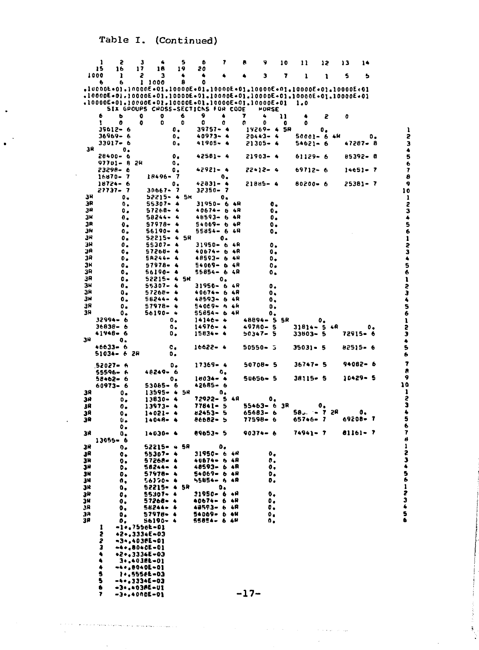Table I. (Continued)

|           | 1                    | 2                    | з       | 4                                                                                                                              |                                                  | 5   | 6                                  | 7                    |          | л      | 9                  |                | 10 | 11       | 12 |             | 13       | 14          |     |                                |
|-----------|----------------------|----------------------|---------|--------------------------------------------------------------------------------------------------------------------------------|--------------------------------------------------|-----|------------------------------------|----------------------|----------|--------|--------------------|----------------|----|----------|----|-------------|----------|-------------|-----|--------------------------------|
|           | 15<br>1000           | 16<br>ı              | 17<br>г | 16<br>з                                                                                                                        |                                                  | 19  | 20<br>4                            |                      |          |        | 3                  |                | 7  | ı        | ı  |             | s        | ь           |     |                                |
|           | 6                    | 6                    | ı       | 1000                                                                                                                           |                                                  | 8   | 0                                  |                      |          |        |                    |                |    |          |    |             |          |             |     |                                |
|           |                      |                      |         | +10000E+01+10000E+01+10000E+01+10000E+01+10000E+01+10000E+01+10000E+01+                                                        |                                                  |     |                                    |                      |          |        |                    |                |    |          |    |             |          |             |     |                                |
|           |                      |                      |         | +10000E+01+10000E+01+10000E+01+10000E+01+10000E+01+10000E+01+10000E+01+<br>+10000E+01+10000E+01+10000E+01+10000E+01+10000E+01+ |                                                  |     |                                    |                      |          |        |                    |                |    | 1.0      |    |             |          |             |     |                                |
|           |                      |                      |         | SIX GPOUPS CHOSS-SECTICNS FOR CODE                                                                                             |                                                  |     |                                    |                      |          |        |                    | ™URSE          |    |          |    |             |          |             |     |                                |
|           | ь                    | ь                    | 0       | o                                                                                                                              |                                                  | 6   | 9                                  | 4                    |          | 7      | 4                  |                | 11 | ۰        | 2  |             | 0        |             |     |                                |
|           | 1                    | 0<br>35612- 6        | 0       | 0                                                                                                                              | ο.                                               | 0   | ٥                                  | 0<br>39757-4         |          | 0      | Ð<br>14269– 4 SR   |                | 0  | ٥        | ο. |             |          |             |     | ı                              |
|           |                      | 36969-6              |         |                                                                                                                                | ٥.                                               |     | 40973-                             |                      | -4       |        | 20443- 4           |                |    |          |    | 50001- 6 4M |          |             | ٥.  | 5                              |
|           |                      | 33017- 6             |         |                                                                                                                                | ο.                                               |     | 41905-                             |                      | -4       |        | 21305– 4           |                |    | 54621– 6 |    |             |          | 47287- 8    |     | 3<br>4                         |
| зR        |                      | ۰.<br>28400- 6       |         |                                                                                                                                | ٥.                                               |     |                                    | 42581- 4             |          |        | $21903 - 4$        |                |    | 61129-6  |    |             |          | 85392- 8    |     |                                |
|           |                      | 97701– B             | 2H      |                                                                                                                                | $\mathbf{0}$ .                                   |     |                                    |                      |          |        |                    |                |    |          |    |             |          |             |     | 5<br>6                         |
|           |                      | 23298- e             |         |                                                                                                                                | ٥.                                               |     |                                    | 42921-4              |          |        | 22+12- 4           |                |    | 69712- 6 |    |             |          | $14651 - 7$ |     | 7                              |
|           |                      | 16870- 7<br>18724- 6 |         | 18496-                                                                                                                         | - 7<br>о.                                        |     |                                    | 0.<br>42831– 4       |          |        | 21885- 4           |                |    | 80200- 6 |    |             |          | 25381- 7    |     | 8<br>9                         |
|           |                      | 21131- 1             |         | 30667-                                                                                                                         | 7                                                |     |                                    | 32350- 7             |          |        |                    |                |    |          |    |             |          |             |     | 10                             |
| зR<br>ЭR  |                      | ο.<br>$\mathbf{0}$ , |         | 52215-<br>55307+                                                                                                               | - 4<br>۰                                         | 5k  |                                    | ۰.<br>31950- 6       | 4R       |        |                    | 0,             |    |          |    |             |          |             |     | 1                              |
| 39        |                      | ο.                   |         | 57268-                                                                                                                         | 4                                                |     |                                    | 40674- 6             | 4R       |        |                    | ο.             |    |          |    |             |          |             |     |                                |
| ЗΗ        |                      | 0.                   |         | 58244-                                                                                                                         | ٠                                                |     |                                    | 48593-6              | 4R       |        |                    | ο.             |    |          |    |             |          |             |     |                                |
| 3R<br>3H  |                      | 0.<br>$\mathbf{0}$ , |         | 57978-<br>56190-                                                                                                               | ۰                                                |     |                                    | 54069-6<br>55854- 6  | 48<br>4R |        |                    | о.<br>о.       |    |          |    |             |          |             |     |                                |
| 34        |                      | ο.                   |         | 52215-                                                                                                                         | ٠                                                | 5R  |                                    | о.                   |          |        |                    |                |    |          |    |             |          |             |     |                                |
| зR        |                      | ο.                   |         | 55307-                                                                                                                         | ٠                                                |     |                                    | 31950-6              | -4 R     |        |                    | $\mathbf{o}$ . |    |          |    |             |          |             |     |                                |
| 3R<br>38  |                      | ۰.<br>$\mathbf{0}$ , |         | 57268-<br>58244-                                                                                                               | ٠<br>4                                           |     |                                    | 40674- b<br>48593- 6 | 4R<br>4H |        |                    | ο.<br>٥.       |    |          |    |             |          |             |     |                                |
| ЗΗ        |                      | ٥.                   |         | 57978-                                                                                                                         | 4                                                |     |                                    | 54069- 6             | -4R      |        |                    | 0.             |    |          |    |             |          |             |     |                                |
| ЗR        |                      | $\mathbf{0}$ .       |         | 56190-                                                                                                                         | ٠                                                |     |                                    | 55854- 6             | 4R       |        |                    | ٥.             |    |          |    |             |          |             |     |                                |
| зR<br>3H  |                      | ٥.<br>0.             |         | 52215-4<br>55307-                                                                                                              | 4                                                | su  |                                    | о.<br>31950- 6 4R    |          |        |                    | ο.             |    |          |    |             |          |             |     |                                |
| ЗR        |                      | Ο,                   |         | 57268-                                                                                                                         | ۰                                                |     | $40674 - 6$                        |                      | -4.R     |        |                    | ۰.             |    |          |    |             |          |             |     | 23456123456123456              |
| зĦ<br>38  |                      | ٥.                   |         | 58244-                                                                                                                         | ۰                                                |     | 48593- 6                           |                      | -4 R     |        |                    | ο.             |    |          |    |             |          |             |     |                                |
| 31        |                      | о.<br>ο.             |         | 57978-<br>56190-                                                                                                               | ٠<br>٠                                           |     | 54069- h<br>55854- 6               |                      | 4H<br>4R |        |                    | ٥.<br>٥.       |    |          |    |             |          |             |     |                                |
|           |                      | 32994– 6             |         |                                                                                                                                | ο.                                               |     | $14146 - 4$                        |                      |          |        | 48894– 5           |                | 5R |          | ٥. |             |          |             |     | ı                              |
|           | 36838- 6<br>41946- 6 |                      |         |                                                                                                                                | $\mathbf{o}_\bullet$<br>$\mathfrak{o}_{\bullet}$ |     | 14976-<br>15834- 4                 | -4                   |          |        | 49780-<br>50347- 5 | 5              |    | 31814– 5 |    | 4R          | 72915-6  |             | ٥.  | 2<br>3                         |
| 34        |                      | о.                   |         |                                                                                                                                |                                                  |     |                                    |                      |          |        |                    |                |    | 33603- 5 |    |             |          |             |     | ۸                              |
|           | 46633- 6             |                      |         |                                                                                                                                | c.                                               |     | 16622- 4                           |                      |          |        | $50550 - 5$        |                |    | 35031- 5 |    |             | 82515- 6 |             |     | 5                              |
|           |                      | 51034- 6 28          |         |                                                                                                                                | ο.                                               |     |                                    |                      |          |        |                    |                |    |          |    |             |          |             |     | 6                              |
|           | 52027- 6             |                      |         | 48249-                                                                                                                         | ۰.                                               |     | 17369- 4                           |                      |          |        | 50708-5            |                |    | 36747- 5 |    |             |          | 94082- 6    |     | 7<br>a                         |
|           | 55596-<br>58+62-     | -6<br>-6             |         |                                                                                                                                | 6<br>о.                                          |     | 16034- +                           | ۰.                   |          |        | 50656– 5           |                |    | 38115- 5 |    |             |          | 10429- 5    |     | 9                              |
|           |                      | 60973- 6             |         | 53065- 6                                                                                                                       |                                                  |     | 42685- 6                           |                      |          |        |                    |                |    |          |    |             |          |             |     | 10                             |
| 38<br>311 |                      | о.<br>۰.             |         | 13595- 4<br>13830- 4                                                                                                           |                                                  | 5R  | 72922- 5                           | о.                   | 48       |        |                    | ٥.             |    |          |    |             |          |             |     | 1                              |
| JA        |                      | ο.                   |         | 13973-                                                                                                                         | ۰                                                |     | 77841- 5                           |                      |          |        | 55463-             | 6              | 3R |          | ٥. |             |          |             |     | e<br>S                         |
| 38        |                      | о.                   |         | $1 - 021 -$                                                                                                                    | ۰                                                |     | 82453- 5                           |                      |          |        | 65683- 6           |                |    | 58. – 7  |    | 58          |          | 0,          | - 7 |                                |
| 38        |                      | υ.<br>ο.             |         | 1.045-                                                                                                                         | ۰                                                |     | 86682- 5                           |                      |          |        | 77598- 6           |                |    | 65746-7  |    |             | 69208-   |             |     | 456                            |
| зñ        |                      | ٥.                   |         | $14030 - 4$                                                                                                                    |                                                  |     | 89653~ 5                           |                      |          |        | 90374- 6           |                |    | 74941- 7 |    |             | 81161-7  |             |     | 7                              |
| ЗH        | 13055- 6             | 0.                   |         | $52215 - 4$                                                                                                                    |                                                  | -58 |                                    | ο.                   |          |        |                    |                |    |          |    |             |          |             |     | ø                              |
| зA        |                      | 0.                   |         | 55307-                                                                                                                         | ٠                                                |     | 31950- 6                           |                      | 4 N      |        |                    | ۰.             |    |          |    |             |          |             |     | $\frac{1}{2}$<br>$\frac{3}{4}$ |
| 3H        |                      | 0.                   |         | 57268-                                                                                                                         |                                                  |     | 40674- б                           |                      | 4R       |        |                    | σ.             |    |          |    |             |          |             |     |                                |
| 3H<br>3H  |                      | ۰.<br>ο,             |         | 58244-<br>57978-                                                                                                               | ٠                                                |     | 48593- 6<br>54069- 6               |                      | 4R<br>48 |        |                    | о,<br>۰.       |    |          |    |             |          |             |     | 5                              |
| 3N        |                      | 0.                   |         | 56170-                                                                                                                         | ٠                                                |     | 55854- 6                           |                      | 4R       |        |                    | ο.             |    |          |    |             |          |             |     | 6                              |
| зH        |                      | ٥,                   |         | 52215-4 5R                                                                                                                     | $\bullet$                                        |     |                                    | ٥.                   |          |        |                    |                |    |          |    |             |          |             |     | ı                              |
| 31<br>JН  |                      | ο.<br>٥.             |         | 55307-<br>57268-                                                                                                               | ٠                                                |     | 31850 <b>- 0</b> 4H<br>40674- 6 4R |                      |          |        |                    | ۰.<br>۰.       |    |          |    |             |          |             |     | てつも                            |
| 38        |                      | ο.                   |         | 56244-                                                                                                                         | 4                                                |     | 48593- 6 4R                        |                      |          |        |                    | σ.             |    |          |    |             |          |             |     |                                |
| Э×<br>38  |                      | ٥.<br>۰.             |         | 57978-<br>56190-                                                                                                               | ۰<br>٠                                           |     | 54069- 6 44<br>55854- 6 66         |                      |          |        |                    | ٥.<br>0.       |    |          |    |             |          |             |     | 5<br>6                         |
|           | ı                    |                      |         | -1+,755öL-01                                                                                                                   |                                                  |     |                                    |                      |          |        |                    |                |    |          |    |             |          |             |     |                                |
|           | とうみんも                |                      |         | +2+,3334E+03                                                                                                                   |                                                  |     |                                    |                      |          |        |                    |                |    |          |    |             |          |             |     |                                |
|           |                      |                      |         | -3-,403EE-01<br>~4+.80+0E-01                                                                                                   |                                                  |     |                                    |                      |          |        |                    |                |    |          |    |             |          |             |     |                                |
|           |                      |                      |         | $*2*.3334E-03$                                                                                                                 |                                                  |     |                                    |                      |          |        |                    |                |    |          |    |             |          |             |     |                                |
|           |                      |                      |         | 3+.4038L-01<br>-4+,B040E-01                                                                                                    |                                                  |     |                                    |                      |          |        |                    |                |    |          |    |             |          |             |     |                                |
|           | 15                   |                      |         | 1+,555fL=03                                                                                                                    |                                                  |     |                                    |                      |          |        |                    |                |    |          |    |             |          |             |     |                                |
|           |                      |                      |         | -4+,3334E-03                                                                                                                   |                                                  |     |                                    |                      |          |        |                    |                |    |          |    |             |          |             |     |                                |
|           | 6<br>7               |                      |         | -3•,603AE-U1<br>-3•.40086-01                                                                                                   |                                                  |     |                                    |                      |          | $-17-$ |                    |                |    |          |    |             |          |             |     |                                |

į

**Signal** 

الووائق وبالاعوار وبالتوارد ومحافره والمحفظ فالتجا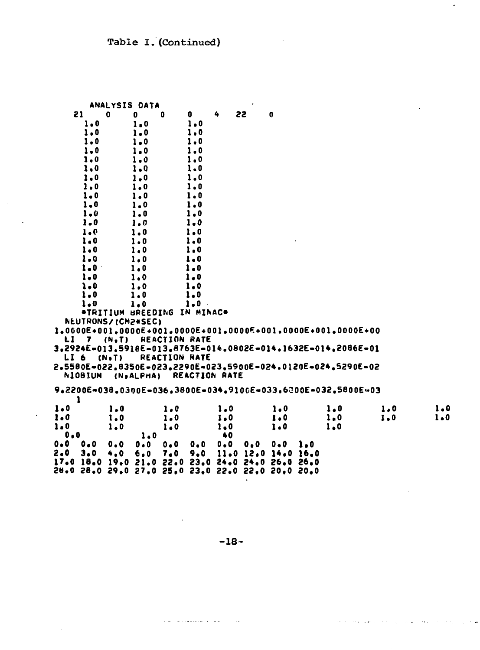$\ddot{\phantom{0}}$ 

 $\hat{\mathcal{A}}$ 

|                                                              | ANALYSIS DATA               |           |                      |         |                      | ٠                   |              |     |                                                                            |         |     |
|--------------------------------------------------------------|-----------------------------|-----------|----------------------|---------|----------------------|---------------------|--------------|-----|----------------------------------------------------------------------------|---------|-----|
| 21                                                           | 0                           | 0         | 0                    | 0       | 4                    | 22                  | $\mathbf{0}$ |     |                                                                            |         |     |
| $1 - 0$                                                      |                             | 1.0       |                      | 1.0     |                      |                     |              |     |                                                                            |         |     |
| $1 - 0$                                                      |                             | 1.0       |                      | 1.0     |                      |                     |              |     |                                                                            |         |     |
| 1.0                                                          |                             | 1.0       |                      | 1.0     |                      |                     |              |     |                                                                            |         |     |
| $1 - 0$                                                      |                             | $1 - 0$   |                      | 1.0     |                      |                     |              |     |                                                                            |         |     |
| 1.0                                                          |                             | $1 - 0$   |                      | 1.0     |                      |                     |              |     |                                                                            |         |     |
| 1.0                                                          |                             | $1 - 0$   |                      | 1.0     |                      |                     |              |     |                                                                            |         |     |
| $1 - 0$                                                      |                             | $1 - 0$   |                      | 1.0     |                      |                     |              |     |                                                                            |         |     |
| 1.0                                                          |                             | 1.0       |                      | 1.0     |                      |                     |              |     |                                                                            |         |     |
| 1.0                                                          |                             | 1.0       |                      | 1.0     |                      |                     |              |     |                                                                            |         |     |
| 1.0                                                          |                             | $1 - 0$   |                      | 1.0     |                      |                     |              |     |                                                                            |         |     |
| $1 - 0$                                                      |                             | $1 - 0$   |                      | 1.0     |                      |                     |              |     |                                                                            |         |     |
| $1 - 0$                                                      |                             | 1.0       |                      | $1 - 0$ |                      |                     |              |     |                                                                            |         |     |
| $1 - 0$                                                      |                             | $1 - 0$   |                      | 1.0     |                      |                     |              |     |                                                                            |         |     |
| 1.0                                                          |                             | 1.0       |                      | 1.0     |                      |                     |              |     |                                                                            |         |     |
| $1 - 0$                                                      |                             | 1.0       |                      | 1.0     |                      |                     |              |     |                                                                            |         |     |
| 1.0                                                          |                             | 1.0       |                      | 1.0     |                      |                     |              |     |                                                                            |         |     |
| $1 - 0$                                                      |                             | $1 - 0$   |                      | 1.0     |                      |                     |              |     |                                                                            |         |     |
| $1 - 0$                                                      |                             | 1.0       |                      | $1 - 0$ |                      |                     |              |     |                                                                            |         |     |
| $\lambda - 0$                                                |                             | 1.0       |                      | $1 - 0$ |                      |                     |              |     |                                                                            |         |     |
| $1 - 0$                                                      |                             | 1.0       |                      | $1 - 0$ |                      |                     |              |     |                                                                            |         |     |
| 1.0                                                          |                             | 1.0       |                      | 1.0.    |                      |                     |              |     |                                                                            |         |     |
|                                                              | *TRITIUM BREEDING IN MINAC* |           |                      |         |                      |                     |              |     |                                                                            |         |     |
| NEUTRONS/(CM2+SEC)                                           |                             |           |                      |         |                      |                     |              |     |                                                                            |         |     |
|                                                              |                             |           |                      |         |                      |                     |              |     | $1.0000E + 001.0000E + 001.0000E + 001.0000E + 001.0000E + 001.0000E + 00$ |         |     |
| LI<br>$\mathbf{7}$                                           | (N, T)                      |           | <b>REACTION RATE</b> |         |                      |                     |              |     |                                                                            |         |     |
| 3,2924E=013,5918E=013,8763E=014,0802E=014,1632E=014,2086E=01 |                             |           |                      |         |                      |                     |              |     |                                                                            |         |     |
| LI 6                                                         | $(N \cdot T)$               |           | <b>REACTION RATE</b> |         |                      |                     |              |     |                                                                            |         |     |
| 2.5580E-022.8350E-023.2290E-023.5900E-024.0120E-024.5290E-02 |                             |           |                      |         |                      |                     |              |     |                                                                            |         |     |
| <b>NIOBIUM</b>                                               |                             | (N.ALPHA) |                      |         | <b>REACTION RATE</b> |                     |              |     |                                                                            |         |     |
|                                                              |                             |           |                      |         |                      |                     |              |     | 9.2200E-038.0300E-036.3800E-034.9100E-033.6200E-032.5800E-03               |         |     |
| 1                                                            |                             |           |                      |         |                      |                     |              |     |                                                                            |         |     |
| 1.0                                                          | 1.0                         |           | 1.0                  |         | 1.0                  |                     | 1.0          |     | 1.0                                                                        | 1.0     | 1.0 |
| 1.0                                                          | $1 - 0$                     |           | 1.0                  |         | I.0                  |                     | 1.0          |     | 1.0                                                                        | $I - 0$ | 1.0 |
| 1.0                                                          | 1.0                         |           | $1 - 0$              |         | 1.0                  |                     | 1.0          |     | 1.0                                                                        |         |     |
| 0.0                                                          |                             | 1.0       |                      |         | 40                   |                     |              |     |                                                                            |         |     |
| $0 - 0$<br>0.0                                               | 0.0                         | $0 - 0$   | 0.0                  | 0.0     | 0.0                  | 0.0                 | 0.0          | 1.0 |                                                                            |         |     |
| 2.0<br>$3 - 0$                                               | 4.0                         | 6.0       | 7.0                  | 9.0     |                      | 11.0 12.0 14.0 16.0 |              |     |                                                                            |         |     |
| 17.0 18.0 19.0 21.0 22.0 23.0 24.0 24.0 26.0 26.0            |                             |           |                      |         |                      |                     |              |     |                                                                            |         |     |
| 28.0 28.0 29.0 27.0 25.0 23.0 22.0 22.0 20.0 20.0            |                             |           |                      |         |                      |                     |              |     |                                                                            |         |     |

 $\bullet$ 

 $-18-$ 

 $\sim$  .

الفاطم والفهري الراقدات والعدة

 $\sim$   $\omega$ 

للموادين والمحوضة فعاقبت والمتارين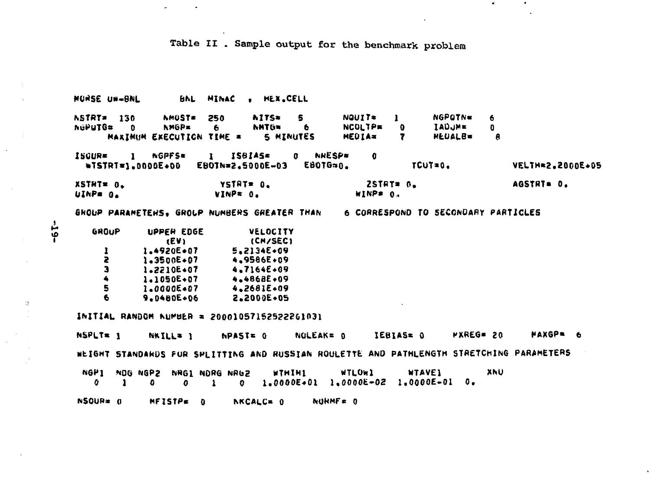Table II . Sample output for the benchmark problem

 $\mathcal{A}$  .

 $\bullet$ 

**BNL MINAC . HEX.CELL** MORSE UW-BNL  $NQUT$ NGPOTNe **NSTRT= 130 NMUSTE** 250 **NITS\*** S.  $\mathbf{I}$ 6. NCOLTP\* **NMGP= NHTG= IADJME** NGPUTG# 6  $\mathbf{a}$ 6.  $\mathbf{0}$  $\mathbf{0}$ **MAXIMUM EXECUTION TIME = 5 MINUTES** HEDIA= **MEDALB=**  $\mathbf{7}$  $\mathbf{R}$ ISBIAS= **ISCUR# NGPFS\*** 0 NHESPE  $\mathbf{0}$  $\mathbf{1}$  $\mathbf{I}$ **EBOTG=0.** #TSTRT=1.0000E+00 EBOTN=2.5000E-03 TCUT=0. VELTH=2.2000E+05  $25TRT = 0.$ YSTRT= 0. AGSTRT= 0. XSTHT\* 0. UINP= 0. VINP= 0. WINP# 0. GROUP PARAMETENS. GROUP NUMBERS GREATER THAN 6 CORRESPOND TO SECONDARY PARTICLES GROUP UPPER EDGE VELOCITY **LEVI** (CM/SEC) 1.4920E+07 5.2134E+09 1 Ż.  $1 - 3500E + 07$ 4,9586E+09 з  $1.2210E + 07$ 4.7164E+09  $\clubsuit$ 1.1050E+07 4,4868E+09 5 1.0000E+07 4.2681E+09 6 9.0480E+06 2.2000E+05 INITIAL RANDOM NUMBER = 20001057152522261031 *WXREG= 20*  $NPASE = 0$ NOLEAK= 0 IEBIAS= 0 MAXGP= 6 NSPLT= 1 NKILL= 1 NEIGHT STANDARDS FOR SPEITTING AND RUSSIAN ROULETTE AND PATHLENGTH STRETCHING PARAMETERS NGP1 NOG NGP2 NRG1 NDRG NRG2 WTLOW1 WTHIH1 **WTAVE1** XNU  $1.0000E+01$   $1.0000E+02$   $1.0000E-01$  0. o -1  $\mathbf{a}$  $\mathbf{a}$  $\mathbf{r}$  $\mathbf{0}$ NSQUR= 0 MFISTP= 0  $NQRMF = 0$ NKCALC= 0

 $-55-$ 

 $\mathbb{R}^{\mathbb{N}}$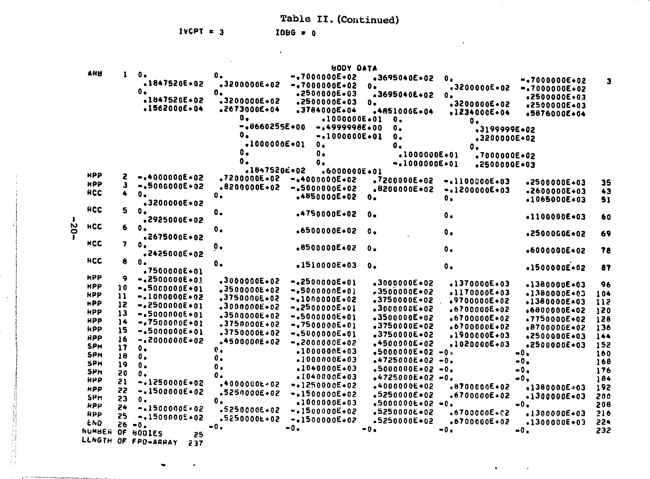Table II. (Continued)

 $\sim$ 

 $\bullet$ 

 $\sim$ 

IVCPT =  $3$ 

 $\bullet$ 

 $IBBG = 0$ 

 $\Delta \phi$ 

|               |               |                     |                  | <b>BODY DATA</b>  |                       |                  |                  |         |
|---------------|---------------|---------------------|------------------|-------------------|-----------------------|------------------|------------------|---------|
| <b>AHB</b>    | 1             | ο.<br>.1847520E+02  | 0.               | $-17000000000002$ | $-3695040E+02$        | $\mathbf{0}$ .   | $-100000000002$  | 3       |
|               |               | ο.                  | .3200000E.02     | $-.7000000E-02$   | о.                    | .3200000E.02     | $-100000000002$  |         |
|               |               | .1847520E+02        | Ο.               | .2500000E+03      | .3695040E+02          | $\mathbf{0}$ .   | .2500000E.03     |         |
|               |               | $.1562000E + 04$    | .3200000E.02     | .2500000E+03      | ο.                    | .3200000E+02     | .2500000E+03     |         |
|               |               |                     | $.2673000E+04$   | .3784000E.04      | .4851006E+04          | $.1234000E+04$   | .5876000E+04     |         |
|               |               |                     | $\mathbf{0}$ .   | $-100000000001$   | $\mathbf{0}$ .        | $\mathbf{0}$ .   |                  |         |
|               |               |                     | $-4660255E+00$   | $-4999998E+00$    | ο.                    | .3199999E+02     |                  |         |
|               |               |                     | $\mathbf{0}$ .   | $-.1000000E-01$   | $\mathbf{0}$ .        | $.3200000E+02$   |                  |         |
|               |               |                     | $-100000000001$  | ο.                | о.                    | О.               |                  |         |
|               |               |                     | О.               | $\mathbf{0}$ .    | $-1000000E + 01$      | .7000000E+02     |                  |         |
|               |               |                     | 0.               | О.                | $-10000000001$        | .2500000E+03     |                  |         |
| <b>RPP</b>    |               |                     | .1847520E+02     | $.6000000E + 01$  |                       |                  |                  |         |
|               | г             | $-4000000E + 02$    | $.7200000E - 02$ | $-400000000002$   | .7200000E+02          | $-.110000000003$ | •2500000E+03     | 35      |
| <b>HPP</b>    | 3             | $-.5000000E + 02$   | .8200000E+02     | $-1500000000002$  | $.8200000E + 02$      | $-.1200000E+03$  | $-2600000E + 03$ | 43      |
| RCC           | 4             | $\mathbf{0}$ .      | $\mathbf{0}$ .   | $-4850000E + 02$  | 0.                    | ο.               | +1065000E+03     | 51      |
|               |               | .3200000E+02        |                  |                   |                       |                  |                  |         |
| <b>RCC</b>    | 5             | $\mathbf{0}$ .      | ο.               | .4750000E+02      | $0 -$                 | $\mathbf{0}$ .   | $-1100000E - 03$ |         |
|               |               | .2925000E+02        |                  |                   |                       |                  |                  | 60      |
| <b>KCC</b>    | 6             | $\mathbf{0}$ .      | 0.               | $.6500000E - 02$  | ٥.                    | $\mathbf{0}$ .   |                  |         |
|               |               | .2675000E+02        |                  |                   |                       |                  | .2500000E+02     | 69      |
| <b>HCC</b>    | 7             | $\mathbf{0}$ .      | ο.               | $.8500000E + 02$  | о.                    |                  |                  |         |
|               |               | .2425000E+02        |                  |                   |                       | $\mathbf 0$ .    | $-6000000E + 02$ | 78      |
| <b>HCC</b>    | 8             | $\mathbf{0}$ .      | $\mathbf{0}$ .   | $.1510000E+03$    | 0.                    |                  |                  |         |
|               |               | .7500000E+01        |                  |                   |                       | $\mathbf{0}$ .   | +1500000E+02     | 87      |
| <b>RPP</b>    | 9             | $-42500000E+01$     | .3000000E 02     | $-2500000E - 01$  |                       |                  |                  |         |
| <b>HPP</b>    | 10            | $-15000000E+01$     | .3500000E+02     |                   | $-3000000E - 02$      | $.1370000E + 03$ | $-1380000E + 03$ | 96      |
| <b>HPP</b>    | $\mathbf{11}$ | $-1000000E + 02$    | .3750000E+02     | $-0.500000000001$ | $-3500000E + 02$      | $-1170000E - 03$ | $.1380000E + 03$ | 104     |
| <b>HPP</b>    | 12            | $-.2500000E+01$     | $-3000000E + 02$ | $-.1000000E.02$   | .3750000E-02          | $.9700000E*02$   | .1380000E+03     | 112     |
| <b>HPP</b>    | 13            | $-.500000000001$    |                  | $-.2500000E+01$   | .3000000E+02          | $.6700000E*02$   | $.6800000E - 02$ | 120     |
| <b>HPP</b>    | 14            | $-.7500000E+01$     | .3500000E+02     | $-15000000E+01$   | .3500000E+02          | $.6700000E+02$   | $.7750000E + 02$ | 128     |
| <b>RPP</b>    | 15            | $-.5000000E*01$     | .3750000E+02     | $-.7500000E+01$   | .3750000E+02          | $.6700000E + 02$ | +8700000E+02     | 136     |
| <b>HPP</b>    | 16            |                     | .3750000E+02     | $-15000000E + 01$ | .3750000E+02          | .1900000E+03     | .2500000E+03     | $1 - 4$ |
| <b>SPH</b>    | 17            | $-4200000000002$    | $-4500000E + 02$ | $-.2000000E-02$   | $-4500000E + 02$      | $.1020000E + 03$ | .2500000E+03     | 152     |
| <b>SPH</b>    | 18            | ο.                  | $\mathbf{e}$ .   | $-1000000E + 03$  | $-50000000E + 02 - 0$ |                  | $-0.$            | 160     |
| <b>SPH</b>    | 19            | $\mathbf{0}$ .      | 0.               | $-1000000E - 03$  | $*4725000E*02$        | $-0$ .           | $-0.$            | 168     |
| <b>SPH</b>    |               | ο.                  | $\mathbf{0}$ .   | $-1040000E + 03$  | $.5000000E - 02$      | $-0$ .           | $-0.$            | 176     |
| <b>RPP</b>    | 20            | $\mathbf{0}$ .      | ο.               | $-1040000E + 03$  | $*4725000E*02 - 0$    |                  | $-0.$            | 184     |
| <b>HPP</b>    | 21            | $-.1250000E + 02$   | $-4000000E + 02$ | $-1250000E+02$    | $*4000000E*02$        | .8700000E+02     | $-138000000003$  | 192     |
|               | 22            | $-.1500000E+02$     | $.5250000E + 02$ | $-.1500000E-02$   | $.5250000E + 02$      | $-6700000E + 02$ | $.1300000E + 03$ | 200     |
| SPH           | 23            | о.                  | ο.               | .1000000E+03      | $.50000006*02 - 0.$   |                  | $-0.$            | 208     |
| <b>RPP</b>    | 24            | $-1500000000002$    | .5250000E+02     | $-.1500000E+02$   | .5250000E+02          | .6700000E.C2     | $.1300000E + 03$ | 216     |
| RPP           | 25            | $-.1500000E+02$     | .5250000L+02     | $-1500000E+02$    | .5250000E+02          | $.6700000E+02$   |                  |         |
| <b>END</b>    |               | $26 - 0.$           | $-0.$            | $-0.$             | $-0.$                 | -0.              | $.1300000E + 03$ | 224     |
| <b>NUMBER</b> | 0F            | <b>BODIES</b><br>25 |                  |                   |                       |                  | $-0.$            | 232     |
| LLNGTH        | OF            | FPD-ARRAY<br>237    |                  |                   |                       |                  |                  |         |

 $-02-$ 

Πł

 $\hat{\mathcal{A}}$ 

 $\sim 10^7$ 

**Legal Annual**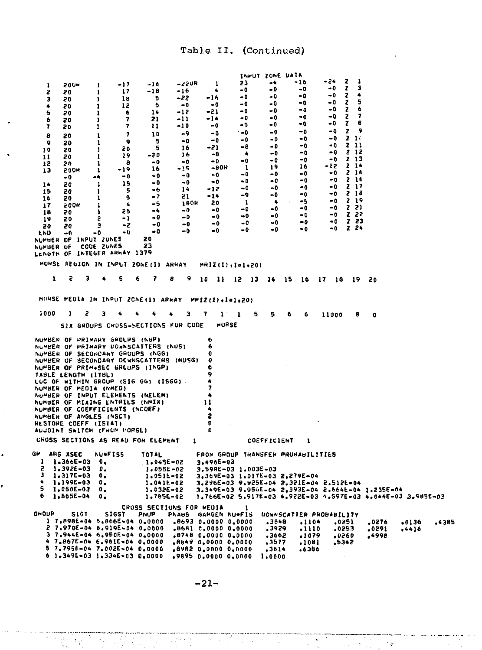| 1<br>г<br>з<br>۰<br>5<br>6<br>7<br>8<br>9<br>10<br>11<br>12<br>13<br>14<br>15<br>16<br>17<br>18<br>19<br>20<br>END<br>NUMBER OF INPUT ZONES                                                                                                                                                                                                                                                                                                                                                                         | <b>200M</b><br>20<br>20<br>20<br>20<br>20<br>20<br>20<br>20<br>20<br>20<br>20<br><b>200R</b><br>-0<br>20<br>20<br>20<br>200H<br>70<br>20<br>20<br>-0 |             | 1<br>1<br>1<br>1<br>1<br>ı<br>1<br>1<br>ı<br>ı<br>1<br>ı<br>ı<br>-4<br>1<br>1<br>1<br>1<br>л<br>S<br>э<br>-0 | -17<br>17<br>18<br>12<br>ь<br>7<br>7<br>7<br>۰<br>ĉО<br>19<br>a<br>$-19$<br>- 0<br>15<br>5<br>5<br>Δ.<br>85<br>- 1<br>-2<br>- 0                                                                             |             | -16<br>-18<br>s<br>5<br>14<br>21<br>11<br>10<br>s<br>5<br>-20<br>- 0<br>16<br>$-0$<br>- 0<br>-6<br>$-7$<br>$-5$<br>$-4$<br>- 0<br>-0<br>- 0<br>20 | -16<br>-22<br>-12<br>-11<br>-10<br>-15                                                   | <b>-22UR</b><br>۰0<br>-9<br>-0<br>16<br>16<br>-0<br>-0<br>-0<br>14<br>21<br>180R<br>$-0$<br>$-0$<br>-0<br>- 0 | 1<br>٠<br>-16<br>-0<br>-21<br>-14<br>- 0<br>-0<br>- 0<br>-21<br>-8<br>$-0$<br>- 0<br>$^{\bullet}$<br>-12<br>-14<br>20<br>- 0<br>$-0$<br>$-0$<br>- 0 | $-80R$         | 23<br>-0<br>- 0<br>-0<br>-0<br>- 0<br>-0<br>0-'<br>-0<br>-8<br>۰<br>-0<br>-1<br>- 0<br>$-0$<br>-0<br>-9<br>-1<br>-0<br>-0<br>$-0$<br>-0                            | INFUT ZONE UATA    | -4<br>-0<br>- 0<br>- 0<br>-0<br>-0<br>-0<br>-0<br>-0<br>- 0<br>-0<br>-0<br>19<br>-0<br>$-0$<br>-0<br>-0<br>$\bullet$<br>-0<br>- 0<br>-0<br>-0 | -16<br>-0<br>-0<br>-0<br>- 0<br>-0<br>-0<br>-0<br>-0<br>-0<br>-0<br>-0<br>16<br>-0<br>-0<br>-0<br>-0<br>-5<br>-0<br>- 0<br>-0<br>-0 |                | -24<br>-0<br>-0<br>- 0<br>-0<br>۵-<br>-0<br>-0<br>$-0$<br>- 0<br>-0<br>-0<br>-22<br>-0<br>-0<br>-0<br>-0<br>-0<br>-0<br>-0<br>-0<br>-0 | 2<br>ı<br>3<br>z<br>٠<br>2<br>5<br>z<br>z<br>6<br>7<br>z<br>6<br>z<br>۰<br>z<br>z<br>-16<br>2 I I<br>Z 12<br>213<br>2 14<br>2 IE<br>216<br>z<br>17<br>z<br>-19<br>2 19<br>22)<br>Z 22<br>Z 23<br><b>Z</b> 24 |                         |                                                             |       |
|---------------------------------------------------------------------------------------------------------------------------------------------------------------------------------------------------------------------------------------------------------------------------------------------------------------------------------------------------------------------------------------------------------------------------------------------------------------------------------------------------------------------|------------------------------------------------------------------------------------------------------------------------------------------------------|-------------|--------------------------------------------------------------------------------------------------------------|-------------------------------------------------------------------------------------------------------------------------------------------------------------------------------------------------------------|-------------|---------------------------------------------------------------------------------------------------------------------------------------------------|------------------------------------------------------------------------------------------|---------------------------------------------------------------------------------------------------------------|-----------------------------------------------------------------------------------------------------------------------------------------------------|----------------|--------------------------------------------------------------------------------------------------------------------------------------------------------------------|--------------------|-----------------------------------------------------------------------------------------------------------------------------------------------|-------------------------------------------------------------------------------------------------------------------------------------|----------------|----------------------------------------------------------------------------------------------------------------------------------------|--------------------------------------------------------------------------------------------------------------------------------------------------------------------------------------------------------------|-------------------------|-------------------------------------------------------------|-------|
| NUMBER OF<br>LENGTH OF INTEGER ARMAY 1379                                                                                                                                                                                                                                                                                                                                                                                                                                                                           |                                                                                                                                                      |             | <b>CODE ZUNES</b>                                                                                            |                                                                                                                                                                                                             |             | 23                                                                                                                                                |                                                                                          |                                                                                                               |                                                                                                                                                     |                |                                                                                                                                                                    |                    |                                                                                                                                               |                                                                                                                                     |                |                                                                                                                                        |                                                                                                                                                                                                              |                         |                                                             |       |
| MORSE REGION IN INPUT 20NE(I) ARRAY                                                                                                                                                                                                                                                                                                                                                                                                                                                                                 |                                                                                                                                                      |             |                                                                                                              |                                                                                                                                                                                                             |             |                                                                                                                                                   |                                                                                          |                                                                                                               |                                                                                                                                                     |                | $MRIZ(1), I=1,20$                                                                                                                                                  |                    |                                                                                                                                               |                                                                                                                                     |                |                                                                                                                                        |                                                                                                                                                                                                              |                         |                                                             |       |
| ı                                                                                                                                                                                                                                                                                                                                                                                                                                                                                                                   | 3                                                                                                                                                    | э           | ٠                                                                                                            | s                                                                                                                                                                                                           | 6           | 7                                                                                                                                                 | 8                                                                                        | 9                                                                                                             |                                                                                                                                                     |                | 10 11 12 13 14                                                                                                                                                     |                    |                                                                                                                                               | - 15<br>16                                                                                                                          | 17             | - 18                                                                                                                                   | 19                                                                                                                                                                                                           | 20                      |                                                             |       |
| MORSE MEDIA IN INPUT ZONE(I) APHAY                                                                                                                                                                                                                                                                                                                                                                                                                                                                                  |                                                                                                                                                      |             |                                                                                                              |                                                                                                                                                                                                             |             |                                                                                                                                                   |                                                                                          |                                                                                                               |                                                                                                                                                     |                | MMIZ(I),1=1,20)                                                                                                                                                    |                    |                                                                                                                                               |                                                                                                                                     |                |                                                                                                                                        |                                                                                                                                                                                                              |                         |                                                             |       |
| 1000                                                                                                                                                                                                                                                                                                                                                                                                                                                                                                                | ı                                                                                                                                                    | 2           | Э                                                                                                            | 4                                                                                                                                                                                                           |             | 4                                                                                                                                                 |                                                                                          | э                                                                                                             | 7                                                                                                                                                   | $\mathbf{1}$ . | $\mathbf{1}$                                                                                                                                                       | 5                  | 5                                                                                                                                             | 6<br>6                                                                                                                              |                | 11000                                                                                                                                  | ε                                                                                                                                                                                                            | o                       |                                                             |       |
|                                                                                                                                                                                                                                                                                                                                                                                                                                                                                                                     |                                                                                                                                                      |             |                                                                                                              | SIX GROUPS CHUSS-SECTIONS FUR CODE                                                                                                                                                                          |             |                                                                                                                                                   |                                                                                          |                                                                                                               |                                                                                                                                                     | <b>MURSE</b>   |                                                                                                                                                                    |                    |                                                                                                                                               |                                                                                                                                     |                |                                                                                                                                        |                                                                                                                                                                                                              |                         |                                                             |       |
| NUMBER OF PRIMARY GROUPS (NGP)<br>NUMBER OF PRIMARY DOWNSCATTERS (NUS)<br>NUMBER OF SECONDARY GROUPS (NGG)<br>NUMBER OF SECONDARY DEWNSCATTERS (NUSG)<br>NUMBER OF PRIM.SEC GROUPS (INGP)<br>TABLE LENGTH (ITBL)<br>LUC OF WITHIN GROUP (SIG GG) (ISGG)<br>NUMBER OF MEDIA (NMED)<br>NUMBER OF INPUT ELEMENTS (NELEM)<br>NUMBER OF MIXING ENTRIES (NMIX)<br>NUMBER OF COEFFICIENTS (NCOEF)<br>NUMBER OF ANGLES (NSCT)<br>RESTORE COEFF (ISTAT)<br>AUJOINT SWITCH (FROM MORSE)<br>CHOSS SECTIONS AS READ FOR ELEMENT |                                                                                                                                                      |             |                                                                                                              |                                                                                                                                                                                                             |             |                                                                                                                                                   |                                                                                          | 1                                                                                                             | ٠<br>6<br>o<br>o<br>6<br>9<br>7<br>11<br>г<br>o<br>n                                                                                                |                |                                                                                                                                                                    | <b>COEFFICIENT</b> |                                                                                                                                               | 1                                                                                                                                   |                |                                                                                                                                        |                                                                                                                                                                                                              |                         |                                                             |       |
| G۳                                                                                                                                                                                                                                                                                                                                                                                                                                                                                                                  | ABS XSEC                                                                                                                                             |             | NU*FISS                                                                                                      |                                                                                                                                                                                                             |             | TOTAL                                                                                                                                             |                                                                                          |                                                                                                               |                                                                                                                                                     |                |                                                                                                                                                                    |                    |                                                                                                                                               | FROM GROUP THANSFEH PHUMABILITIES                                                                                                   |                |                                                                                                                                        |                                                                                                                                                                                                              |                         |                                                             |       |
| 1<br>г<br>з<br>4<br>5<br>٠                                                                                                                                                                                                                                                                                                                                                                                                                                                                                          | 1.366E-03<br>$1.3926 - 03$<br>1,317E-03<br>1.199E-03<br>1,050E-03<br>1.865E-04                                                                       |             | $\bullet$ .<br>$\pmb{v}$ .<br>ο,<br>ο,<br>۰.<br>0.                                                           |                                                                                                                                                                                                             |             |                                                                                                                                                   | 1.045E-02<br>$1 - 055E - 02$<br>1.0511-02<br>$1.041k - 02$<br>$1.032E - 02$<br>1.785E-02 |                                                                                                               | 3.496E-03                                                                                                                                           |                | 3.598E-03 1.003E-03                                                                                                                                                |                    |                                                                                                                                               | 3.369E-03 1.017E-03 2.279E-04<br>3.296E-03 9.925E-04 2.321E-04 2.512E-04<br>3.349E-03 9.956E-04 2.393E-04 2.664E-04 1.235E-04       |                |                                                                                                                                        |                                                                                                                                                                                                              |                         | 1.766E-02 5.917E-03 4.922E-03 4.597E-03 4.044E-03 3.985E-03 |       |
| GROUP                                                                                                                                                                                                                                                                                                                                                                                                                                                                                                               |                                                                                                                                                      | <b>S1GT</b> |                                                                                                              | <b>SIGST</b><br>1 7.898E-04 5.866E-04 0.0000<br>2 7.970E-04 6.919E-04 0.0000<br>3 7.944E-04 6.950E-04 0.0000<br>4 7.867E-04 6.961E-04 0.0000<br>5 7.7956-04 7.0026-04 0.0000<br>$61.349E-031.334E-030.0000$ | <b>PNUP</b> |                                                                                                                                                   | CROSS SECTIONS FOR MEDIA                                                                 |                                                                                                               |                                                                                                                                                     |                | 1<br>PNAUS GANGEN NU#FIS<br>.8693 0.0000 0.0000<br>.86H1 0.0000 0.0000<br>.8748 0.0000 0.0000<br>.8649 0.0000 0.0000<br>.8982 0.0000 0.0000<br>.9895 0.0000 0.0000 |                    | .3848<br>.3929<br>,3662<br>,3577<br>, 3614<br>1,0000                                                                                          | UCWNSCATTER PROBABILITY<br>.1079<br>.1081<br>.6386                                                                                  | .1104<br>.1110 |                                                                                                                                        | 0251.<br>0253ء<br>.0260<br>.5342                                                                                                                                                                             | .0276<br>.0291<br>.4998 | .0136<br>$+4416$                                            | .4385 |

 $-21-$ 

 $\mathcal{L}^{\text{max}}_{\text{max}}$  and  $\mathcal{L}^{\text{max}}_{\text{max}}$ 

.<br>Kalendarius margare (1939-2000) and care a

 $\sim$   $\epsilon$ 

 $\bar{\mathcal{A}}$ 

.

ŕ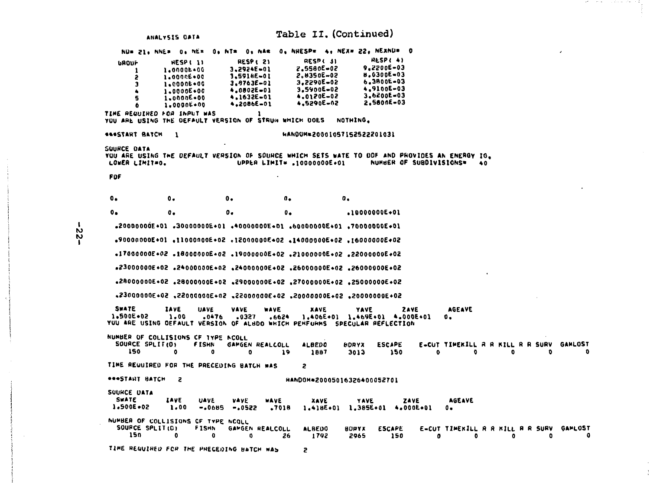Table II. (Continued) ANALYSIS DATA NU= 21. NNE= 0. NE= 0. NT= 0. NA= 0. NHESP= 4. NEX= 22. NEXNU= 0 **RESP(4)** RESPE 2) RESP( 31 **GROUP HESP(II** 9.2200E-03  $3.2974E - 01$ 2.5560E-02 1.00006+00 -1 8.0300E-03 3.5916E-01 2.8350E-02 1.00006+00 2 3.2290E-02 6.3800E-03 1.00006+00  $3.9763E - 01$ h 3.5900E-02 4.9100E-03 4.0802E-01 1.0000E+00 3.6200E-03 4.1632E-01 4.0120E-02 1.0000E+00 G 2.5600E-03 4,2086E-01 4.5290E-02  $1 - 000000 + 00$ A TIME REQUIRED FOR INPUT WAS YOU ARE USING THE DEFAULT VERSION OF STRUN WHICH DOES NOTHING. **SASSTART BATCH 1** HANDUM=20001057152522201031 SQUACE DATA YOU ARE USING THE DEFAULT VERSION OF SOURCE WHICH SETS WATE TO ODF AND PROVIDES AN ENERGY IG. LOWER LIMIT=0. UPPER LIMIT\* .10000000E+01 NUMMER OF SUBDIVISIONS\* 40 FOF  $0 \mathbf{a}$  $0 \mathbf{0}$ .  $\mathbf{0}$ .  $0.1$  $\mathbf{0}$ .  $0.1$  $0 .10000000E + 01$ .20000000E+01 .30000000E+01 .40000000E+01 .50000000E+01 .7000000E+01 S0+3000000E+01 S0+300000E+02 .1400000E+02 .1400000E+01 .0+300000E+02 50+3000000E+02 50+3000000E+02 +1900000E+02 +1700000E+02 +02+3000000E+02 S0+3000000E+02 S0+3000000E+02 S0+300000E+02 S0+300000E+02 S0+300000DE+02 S0+3000000E+02. S0+300000E+02. S0+3000000E+02. S0+300000E+02. S0+300000E+02 50+3000000E+03 +3000000E+02+3000000E+02 +3000000E+02 +3000000E+03 **SWATE IAVE VAVE AGEAVE UAVE WAVE XAVE YAVE 2AVE** 1.500E+02 1.00  $-0476$   $-0327$   $-6624$ 1.406E+01 1.469E+01 4.000E+01 о. YOU ARE USING DEFAULT VERSION OF ALBDO WHICH PERFORMS SPECULAR REFLECTION NUMBER OF COLLISIONS OF TYPE NCOLL SOURCE SPLIT(D) **FISHN** GAMGEN REALCOLL **ALBEDO HDRYX ESCAPE** EUCT TIMERILL A A KILL R R SURV GAMLOST 150  $\mathbf{a}$  $\mathbf{a}$  $\mathbf{a}$  $19$ 150  $\bullet$  $1887$ 3013  $\bullet$  $\mathbf{a}$  $\mathbf{a}$  $\mathbf{a}$ TIME REQUIRED FOR THE PRECEDING BATCH WAS  $\overline{c}$ \*\*\*START BATCH 2 HANDOM=20005016326400052701 SUUHCE UATA **SWATE** IAVE AGEAVE **UAVE VAVE WAVE XAVE YAVE** ZAVE 1.500E+02 1.418E+01 1.385E+01 4.000E+01 1,00  $-0.0685 - 0.0522 - 0.7018$  $\mathbf{0}$ . NUMBER OF COLLISIONS OF TYPE NCOLL SOURCE SPLIT(D) **FISHN** GAMGEN REALCOLL **ALBEDO BORYX ESCAPE** E-CUT TIMERILL R R KILL R R SURV GAMLOST  $150$ n.  $\mathbf{a}$ 0. 26 1792 2965 150 n. n. o  $\bullet$  $\mathbf{r}$ TIME REQUIRED FOR THE PRECEDING BATCH WAS Z.

 $\mathbf{I}$ 

Ň **N** 

T

化硫酸 人名英格兰人姓氏卡雷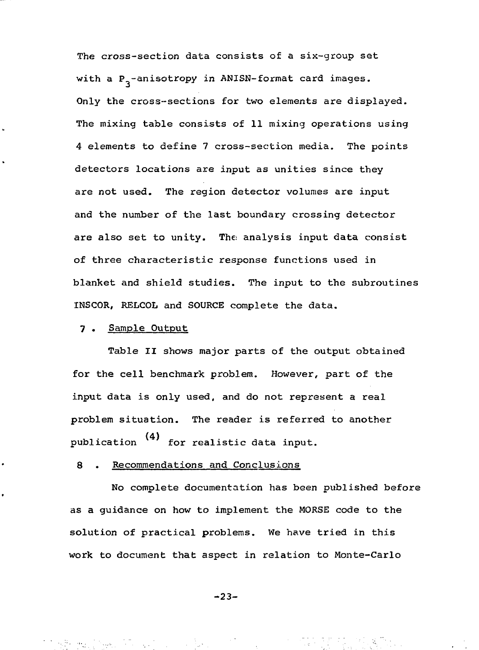The cross-section data consists of a six-group set with a  $P_2$ -anisotropy in ANISN-format card images. Only the cross-sections for two elements are displayed. The mixing table consists of 11 mixing operations using 4 elements to define 7 cross-section media. The points detectors locations are input as unities since they are not used. The region detector volumes are input and the number of the last boundary crossing detector are also set to unity. The analysis input data consist of three characteristic response functions used in blanket and shield studies. The input to the subroutines INSCOR, RELCOL and SOURCE complete the data.

## 7 . Sample Output

Table II shows major parts of the output obtained for the cell benchmark problem. However, part of the input data is only used, and do not represent a real problem situation. The reader is referred to another publication (4) for realistic data input.

No complete documentation has been published before as a quidance on how to implement the MORSE code to the solution of practical problems. We have tried in this work to document that aspect in relation to Monte-Carlo

-23-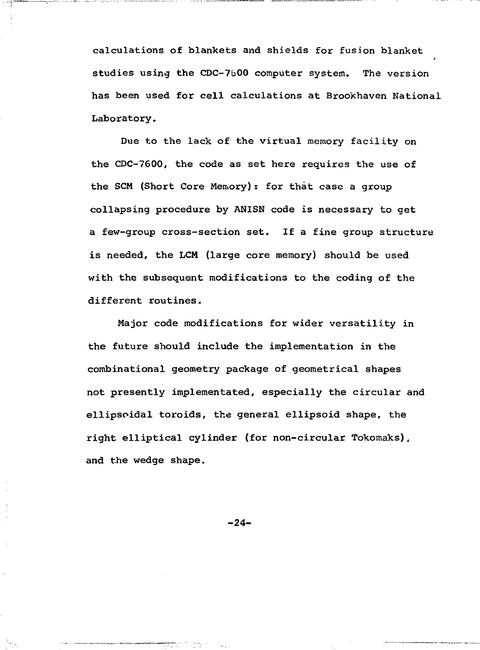calculations of blankets and shields for fusion blanket studies using the CDC-7600 computer system. The version has been used for cell calculations at Brookhaven National Laboratory.

mana pamailin serama ing Pina na diampati sa si nda ata 1999. Pa

Due to the lack of the virtual memory facility on the CDC-7600, the code as set here requires the use of the SCM (Short Core Memory): for that case a group collapsing procedure by ANISN code is necessary to get a few-group cross-section set. If a fine group structure is needed, the LCM (large core memory) should be used with the subsequent modifications to the coding of the different routines.

Major code modifications for wider versatility in the future should include the implementation in the combinational geometry package of geometrical shapes not presently implementated, especially the circular and ellipsoidal toroids, the general ellipsoid shape, the right elliptical cylinder (for non-circular Tokomaks), and the wedge shape.

-24-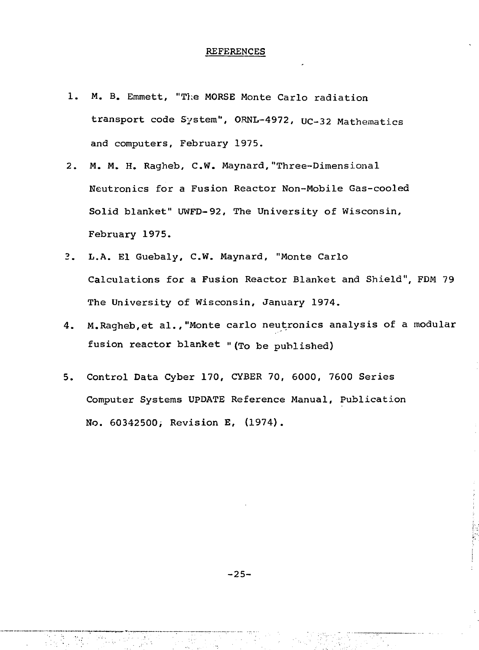#### REFERENCES

- 1. M. B. Emmett, "The MORSE Monte Carlo radiation transport code System", ORNL-4972, UC-32 Mathematics and computers, February 1975.
- 2. M. M. H. Ragheb, C.W. Maynard,"Three-Dimensional Neutronics for a Fusion Reactor Non-Mobile Gas-cooled Solid blanket" UWFD-92, The University of Wisconsin, February 1975.
- 3. L.A. El Guebaly, C.W. Maynard, "Monte Carlo Calculations for a Fusion Reactor Blanket and Shield", FDM 79 The University of Wisconsin, January 1974.
- 4. M.Ragheb,et al.,"Monte carlo neutronics analysis of a modular fusion reactor blanket »(To be published)
- 5. Control Data Cyber 170, CYBER 70, 6000, 7600 Series Computer Systems UPDATE Reference Manual, Publication No. 60342500; Revision E, (1974).

 $-25-$